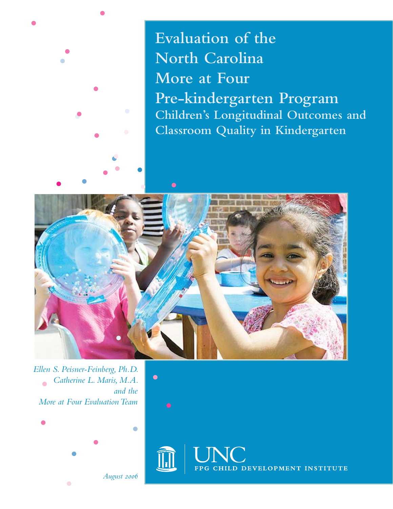

**Evaluation of the North Carolina More at Four Pre-kindergarten Program Children's Longitudinal Outcomes and Classroom Quality in Kindergarten**



*Ellen S. Peisner-Feinberg, Ph.D. Catherine L. Maris, M.A.* ò *and the More at Four Evaluation Team*



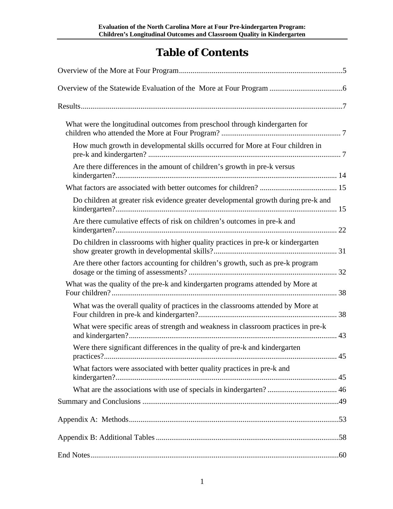# **Table of Contents**

| What were the longitudinal outcomes from preschool through kindergarten for        |  |
|------------------------------------------------------------------------------------|--|
| How much growth in developmental skills occurred for More at Four children in      |  |
| Are there differences in the amount of children's growth in pre-k versus           |  |
|                                                                                    |  |
| Do children at greater risk evidence greater developmental growth during pre-k and |  |
| Are there cumulative effects of risk on children's outcomes in pre-k and           |  |
| Do children in classrooms with higher quality practices in pre-k or kindergarten   |  |
| Are there other factors accounting for children's growth, such as pre-k program    |  |
| What was the quality of the pre-k and kindergarten programs attended by More at    |  |
| What was the overall quality of practices in the classrooms attended by More at    |  |
| What were specific areas of strength and weakness in classroom practices in pre-k  |  |
| Were there significant differences in the quality of pre-k and kindergarten        |  |
| What factors were associated with better quality practices in pre-k and            |  |
|                                                                                    |  |
|                                                                                    |  |
|                                                                                    |  |
|                                                                                    |  |
|                                                                                    |  |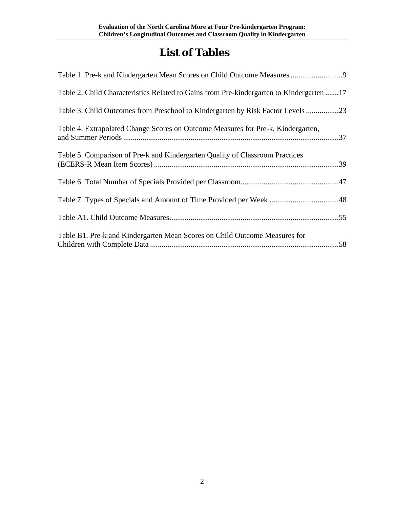# **List of Tables**

| Table 1. Pre-k and Kindergarten Mean Scores on Child Outcome Measures                    |
|------------------------------------------------------------------------------------------|
| Table 2. Child Characteristics Related to Gains from Pre-kindergarten to Kindergarten 17 |
| Table 3. Child Outcomes from Preschool to Kindergarten by Risk Factor Levels 23          |
| Table 4. Extrapolated Change Scores on Outcome Measures for Pre-k, Kindergarten,<br>.37  |
| Table 5. Comparison of Pre-k and Kindergarten Quality of Classroom Practices             |
|                                                                                          |
|                                                                                          |
|                                                                                          |
| Table B1. Pre-k and Kindergarten Mean Scores on Child Outcome Measures for               |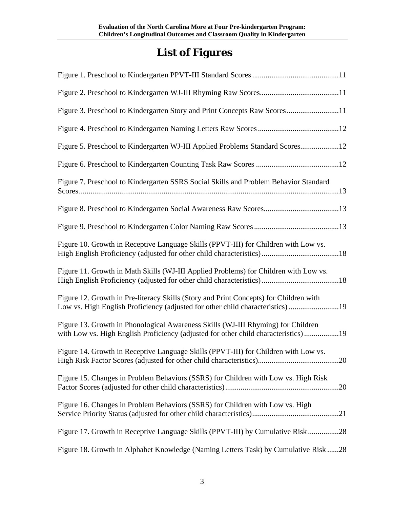# **List of Figures**

| Figure 3. Preschool to Kindergarten Story and Print Concepts Raw Scores11                                                                                               |
|-------------------------------------------------------------------------------------------------------------------------------------------------------------------------|
|                                                                                                                                                                         |
| Figure 5. Preschool to Kindergarten WJ-III Applied Problems Standard Scores12                                                                                           |
|                                                                                                                                                                         |
| Figure 7. Preschool to Kindergarten SSRS Social Skills and Problem Behavior Standard                                                                                    |
|                                                                                                                                                                         |
|                                                                                                                                                                         |
| Figure 10. Growth in Receptive Language Skills (PPVT-III) for Children with Low vs.                                                                                     |
| Figure 11. Growth in Math Skills (WJ-III Applied Problems) for Children with Low vs.                                                                                    |
| Figure 12. Growth in Pre-literacy Skills (Story and Print Concepts) for Children with<br>Low vs. High English Proficiency (adjusted for other child characteristics) 19 |
| Figure 13. Growth in Phonological Awareness Skills (WJ-III Rhyming) for Children<br>with Low vs. High English Proficiency (adjusted for other child characteristics)19  |
| Figure 14. Growth in Receptive Language Skills (PPVT-III) for Children with Low vs.                                                                                     |
| Figure 15. Changes in Problem Behaviors (SSRS) for Children with Low vs. High Risk                                                                                      |
| Figure 16. Changes in Problem Behaviors (SSRS) for Children with Low vs. High                                                                                           |
| Figure 17. Growth in Receptive Language Skills (PPVT-III) by Cumulative Risk 28                                                                                         |
| Figure 18. Growth in Alphabet Knowledge (Naming Letters Task) by Cumulative Risk 28                                                                                     |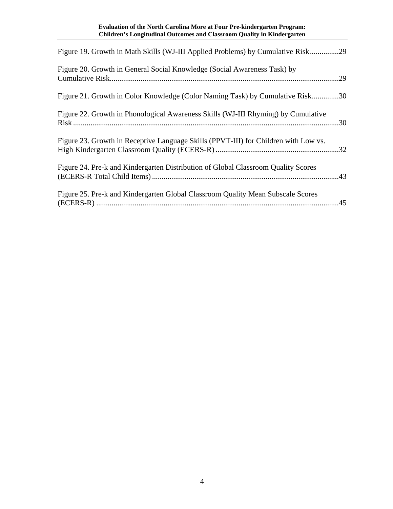| Figure 19. Growth in Math Skills (WJ-III Applied Problems) by Cumulative Risk29     |  |
|-------------------------------------------------------------------------------------|--|
| Figure 20. Growth in General Social Knowledge (Social Awareness Task) by            |  |
| Figure 21. Growth in Color Knowledge (Color Naming Task) by Cumulative Risk30       |  |
| Figure 22. Growth in Phonological Awareness Skills (WJ-III Rhyming) by Cumulative   |  |
| Figure 23. Growth in Receptive Language Skills (PPVT-III) for Children with Low vs. |  |
| Figure 24. Pre-k and Kindergarten Distribution of Global Classroom Quality Scores   |  |
| Figure 25. Pre-k and Kindergarten Global Classroom Quality Mean Subscale Scores     |  |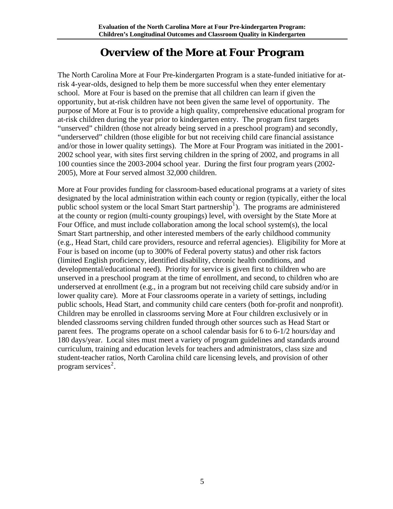## **Overview of the More at Four Program**

<span id="page-5-0"></span>The North Carolina More at Four Pre-kindergarten Program is a state-funded initiative for atrisk 4-year-olds, designed to help them be more successful when they enter elementary school. More at Four is based on the premise that all children can learn if given the opportunity, but at-risk children have not been given the same level of opportunity. The purpose of More at Four is to provide a high quality, comprehensive educational program for at-risk children during the year prior to kindergarten entry. The program first targets "unserved" children (those not already being served in a preschool program) and secondly, "underserved" children (those eligible for but not receiving child care financial assistance and/or those in lower quality settings). The More at Four Program was initiated in the 2001- 2002 school year, with sites first serving children in the spring of 2002, and programs in all 100 counties since the 2003-2004 school year. During the first four program years (2002- 2005), More at Four served almost 32,000 children.

More at Four provides funding for classroom-based educational programs at a variety of sites designated by the local administration within each county or region (typically, either the local public school system or the local Smart Start partnership<sup>[1](#page-62-0)</sup>). The programs are administered at the county or region (multi-county groupings) level, with oversight by the State More at Four Office, and must include collaboration among the local school system(s), the local Smart Start partnership, and other interested members of the early childhood community (e.g., Head Start, child care providers, resource and referral agencies). Eligibility for More at Four is based on income (up to 300% of Federal poverty status) and other risk factors (limited English proficiency, identified disability, chronic health conditions, and developmental/educational need). Priority for service is given first to children who are unserved in a preschool program at the time of enrollment, and second, to children who are underserved at enrollment (e.g., in a program but not receiving child care subsidy and/or in lower quality care). More at Four classrooms operate in a variety of settings, including public schools, Head Start, and community child care centers (both for-profit and nonprofit). Children may be enrolled in classrooms serving More at Four children exclusively or in blended classrooms serving children funded through other sources such as Head Start or parent fees. The programs operate on a school calendar basis for 6 to 6-1/2 hours/day and 180 days/year. Local sites must meet a variety of program guidelines and standards around curriculum, training and education levels for teachers and administrators, class size and student-teacher ratios, North Carolina child care licensing levels, and provision of other program services<sup>[2](#page-62-1)</sup>.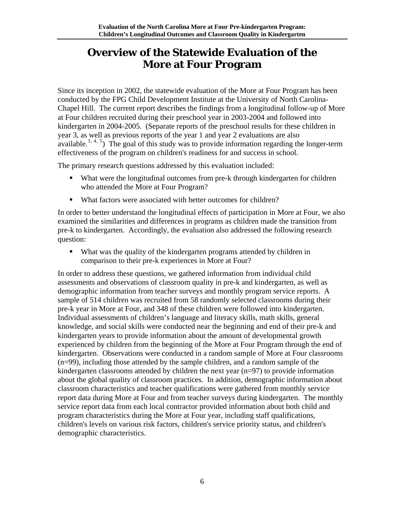## <span id="page-6-0"></span>**Overview of the Statewide Evaluation of the More at Four Program**

Since its inception in 2002, the statewide evaluation of the More at Four Program has been conducted by the FPG Child Development Institute at the University of North Carolina-Chapel Hill. The current report describes the findings from a longitudinal follow-up of More at Four children recruited during their preschool year in 2003-2004 and followed into kindergarten in 2004-2005. (Separate reports of the preschool results for these children in year 3, as well as previous reports of the year 1 and year 2 evaluations are also available.<sup>[3](#page-62-1), [4](#page-62-1), [5](#page-62-1)</sup>) The goal of this study was to provide information regarding the longer-term effectiveness of the program on children's readiness for and success in school.

The primary research questions addressed by this evaluation included:

- What were the longitudinal outcomes from pre-k through kindergarten for children who attended the More at Four Program?
- What factors were associated with better outcomes for children?

In order to better understand the longitudinal effects of participation in More at Four, we also examined the similarities and differences in programs as children made the transition from pre-k to kindergarten. Accordingly, the evaluation also addressed the following research question:

• What was the quality of the kindergarten programs attended by children in comparison to their pre-k experiences in More at Four?

In order to address these questions, we gathered information from individual child assessments and observations of classroom quality in pre-k and kindergarten, as well as demographic information from teacher surveys and monthly program service reports. A sample of 514 children was recruited from 58 randomly selected classrooms during their pre-k year in More at Four, and 348 of these children were followed into kindergarten. Individual assessments of children's language and literacy skills, math skills, general knowledge, and social skills were conducted near the beginning and end of their pre-k and kindergarten years to provide information about the amount of developmental growth experienced by children from the beginning of the More at Four Program through the end of kindergarten. Observations were conducted in a random sample of More at Four classrooms (n=99), including those attended by the sample children, and a random sample of the kindergarten classrooms attended by children the next year (n=97) to provide information about the global quality of classroom practices. In addition, demographic information about classroom characteristics and teacher qualifications were gathered from monthly service report data during More at Four and from teacher surveys during kindergarten. The monthly service report data from each local contractor provided information about both child and program characteristics during the More at Four year, including staff qualifications, children's levels on various risk factors, children's service priority status, and children's demographic characteristics.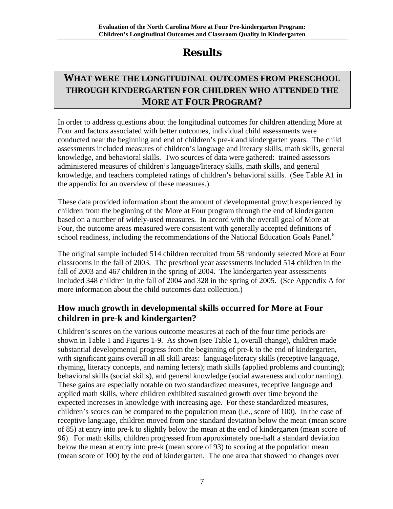# **Results**

## <span id="page-7-0"></span>**WHAT WERE THE LONGITUDINAL OUTCOMES FROM PRESCHOOL THROUGH KINDERGARTEN FOR CHILDREN WHO ATTENDED THE MORE AT FOUR PROGRAM?**

In order to address questions about the longitudinal outcomes for children attending More at Four and factors associated with better outcomes, individual child assessments were conducted near the beginning and end of children's pre-k and kindergarten years. The child assessments included measures of children's language and literacy skills, math skills, general knowledge, and behavioral skills. Two sources of data were gathered: trained assessors administered measures of children's language/literacy skills, math skills, and general knowledge, and teachers completed ratings of children's behavioral skills. (See Table A1 in the appendix for an overview of these measures.)

These data provided information about the amount of developmental growth experienced by children from the beginning of the More at Four program through the end of kindergarten based on a number of widely-used measures. In accord with the overall goal of More at Four, the outcome areas measured were consistent with generally accepted definitions of school readiness, including the recommendations of the National Education Goals Panel.<sup>[6](#page-62-1)</sup>

The original sample included 514 children recruited from 58 randomly selected More at Four classrooms in the fall of 2003. The preschool year assessments included 514 children in the fall of 2003 and 467 children in the spring of 2004. The kindergarten year assessments included 348 children in the fall of 2004 and 328 in the spring of 2005. (See Appendix A for more information about the child outcomes data collection.)

## **How much growth in developmental skills occurred for More at Four children in pre-k and kindergarten?**

Children's scores on the various outcome measures at each of the four time periods are shown in Table 1 and Figures 1-9. As shown (see Table 1, overall change), children made substantial developmental progress from the beginning of pre-k to the end of kindergarten, with significant gains overall in all skill areas: language/literacy skills (receptive language, rhyming, literacy concepts, and naming letters); math skills (applied problems and counting); behavioral skills (social skills), and general knowledge (social awareness and color naming). These gains are especially notable on two standardized measures, receptive language and applied math skills, where children exhibited sustained growth over time beyond the expected increases in knowledge with increasing age. For these standardized measures, children's scores can be compared to the population mean (i.e., score of 100). In the case of receptive language, children moved from one standard deviation below the mean (mean score of 85) at entry into pre-k to slightly below the mean at the end of kindergarten (mean score of 96). For math skills, children progressed from approximately one-half a standard deviation below the mean at entry into pre-k (mean score of 93) to scoring at the population mean (mean score of 100) by the end of kindergarten. The one area that showed no changes over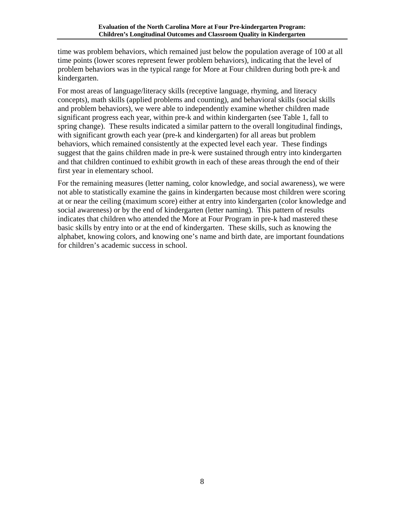time was problem behaviors, which remained just below the population average of 100 at all time points (lower scores represent fewer problem behaviors), indicating that the level of problem behaviors was in the typical range for More at Four children during both pre-k and kindergarten.

For most areas of language/literacy skills (receptive language, rhyming, and literacy concepts), math skills (applied problems and counting), and behavioral skills (social skills and problem behaviors), we were able to independently examine whether children made significant progress each year, within pre-k and within kindergarten (see Table 1, fall to spring change). These results indicated a similar pattern to the overall longitudinal findings, with significant growth each year (pre-k and kindergarten) for all areas but problem behaviors, which remained consistently at the expected level each year. These findings suggest that the gains children made in pre-k were sustained through entry into kindergarten and that children continued to exhibit growth in each of these areas through the end of their first year in elementary school.

For the remaining measures (letter naming, color knowledge, and social awareness), we were not able to statistically examine the gains in kindergarten because most children were scoring at or near the ceiling (maximum score) either at entry into kindergarten (color knowledge and social awareness) or by the end of kindergarten (letter naming). This pattern of results indicates that children who attended the More at Four Program in pre-k had mastered these basic skills by entry into or at the end of kindergarten. These skills, such as knowing the alphabet, knowing colors, and knowing one's name and birth date, are important foundations for children's academic success in school.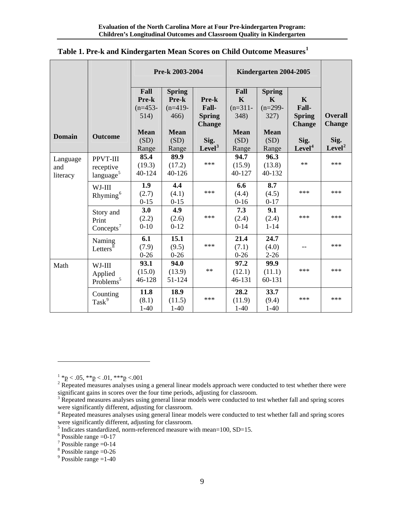|                             |                                                | Pre-k 2003-2004                                           |                                                                    |                                                          | Kindergarten 2004-2005                                          |                                                                          |                                                                |                                         |
|-----------------------------|------------------------------------------------|-----------------------------------------------------------|--------------------------------------------------------------------|----------------------------------------------------------|-----------------------------------------------------------------|--------------------------------------------------------------------------|----------------------------------------------------------------|-----------------------------------------|
| <b>Domain</b>               | <b>Outcome</b>                                 | Fall<br>Pre-k<br>$(n=453-$<br>514)<br><b>Mean</b><br>(SD) | <b>Spring</b><br>Pre-k<br>$(n=419-$<br>466)<br><b>Mean</b><br>(SD) | Pre-k<br>Fall-<br><b>Spring</b><br><b>Change</b><br>Sig. | Fall<br>$\mathbf K$<br>$(n=311-$<br>348)<br><b>Mean</b><br>(SD) | <b>Spring</b><br>$\mathbf K$<br>$(n=299-$<br>327)<br><b>Mean</b><br>(SD) | $\mathbf K$<br>Fall-<br><b>Spring</b><br><b>Change</b><br>Sig. | <b>Overall</b><br><b>Change</b><br>Sig. |
|                             |                                                | Range                                                     | Range                                                              | Level <sup>3</sup>                                       | Range                                                           | Range                                                                    | Level <sup>4</sup>                                             | Level <sup>2</sup>                      |
| Language<br>and<br>literacy | PPVT-III<br>receptive<br>language <sup>5</sup> | 85.4<br>(19.3)<br>40-124                                  | 89.9<br>(17.2)<br>40-126                                           | ***                                                      | 94.7<br>(15.9)<br>40-127                                        | 96.3<br>(13.8)<br>40-132                                                 | $**$                                                           | ***                                     |
|                             | WJ-III<br>Rhyming <sup>6</sup>                 | 1.9<br>(2.7)<br>$0 - 15$                                  | 4.4<br>(4.1)<br>$0 - 15$                                           | ***                                                      | 6.6<br>(4.4)<br>$0 - 16$                                        | 8.7<br>(4.5)<br>$0 - 17$                                                 | ***                                                            | ***                                     |
|                             | Story and<br>Print<br>Concepts <sup>7</sup>    | 3.0<br>(2.2)<br>$0 - 10$                                  | 4.9<br>(2.6)<br>$0 - 12$                                           | ***                                                      | 7.3<br>(2.4)<br>$0 - 14$                                        | 9.1<br>(2.4)<br>$1 - 14$                                                 | $***$                                                          | ***                                     |
|                             | Naming<br>Letters <sup>8</sup>                 | 6.1<br>(7.9)<br>$0 - 26$                                  | 15.1<br>(9.5)<br>$0 - 26$                                          | ***                                                      | 21.4<br>(7.1)<br>$0 - 26$                                       | 24.7<br>(4.0)<br>$2 - 26$                                                |                                                                | ***                                     |
| Math                        | WJ-III<br>Applied<br>Problems <sup>5</sup>     | 93.1<br>(15.0)<br>46-128                                  | 94.0<br>(13.9)<br>51-124                                           | $**$                                                     | 97.2<br>(12.1)<br>46-131                                        | 99.9<br>(11.1)<br>60-131                                                 | $***$                                                          | ***                                     |
|                             | Counting<br>Task <sup>9</sup>                  | 11.8<br>(8.1)<br>$1 - 40$                                 | 18.9<br>(11.5)<br>$1-40$                                           | ***                                                      | 28.2<br>(11.9)<br>$1-40$                                        | 33.7<br>(9.4)<br>$1-40$                                                  | ***                                                            | ***                                     |

### <span id="page-9-0"></span>**Table 1. Pre-k and Kindergarten Mean Scores on Child Outcome Measures[1](#page-9-1)**

 $^{1}$  \*p < .05, \*\*p < .01, \*\*\*p < .001

<span id="page-9-2"></span><span id="page-9-1"></span><sup>&</sup>lt;sup>2</sup> Repeated measures analyses using a general linear models approach were conducted to test whether there were significant gains in scores over the four time periods, adjusting for classroom.

<span id="page-9-3"></span><sup>&</sup>lt;sup>3</sup> Repeated measures analyses using general linear models were conducted to test whether fall and spring scores were significantly different, adjusting for classroom. 4

<span id="page-9-4"></span><sup>&</sup>lt;sup>4</sup> Repeated measures analyses using general linear models were conducted to test whether fall and spring scores were significantly different, adjusting for classroom.

 $<sup>5</sup>$  Indicates standardized, norm-referenced measure with mean=100, SD=15.</sup>

<span id="page-9-6"></span><span id="page-9-5"></span> $6$  Possible range =0-17

<span id="page-9-7"></span> $7$  Possible range = 0-14

<span id="page-9-8"></span> $8$  Possible range = 0-26

<span id="page-9-9"></span> $9^9$  Possible range = 1-40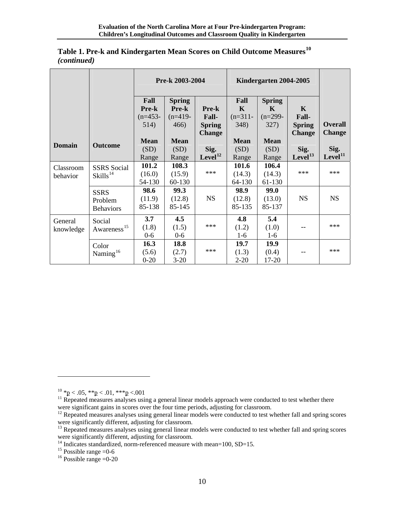|               |                         | Pre-k 2003-2004 |               |                     | Kindergarten 2004-2005 |               |                     |                                 |
|---------------|-------------------------|-----------------|---------------|---------------------|------------------------|---------------|---------------------|---------------------------------|
|               |                         | Fall            | <b>Spring</b> |                     | Fall                   | <b>Spring</b> |                     |                                 |
|               |                         | Pre-k           | Pre-k         | <b>Pre-k</b>        | $\mathbf K$            | K             | $\mathbf{K}$        |                                 |
|               |                         | $(n=453-$       | $(n=419-$     | Fall-               | $(n=311-$              | $(n=299-$     | Fall-               |                                 |
|               |                         | 514)            | 466)          | <b>Spring</b>       | 348)                   | 327)          | <b>Spring</b>       | <b>Overall</b><br><b>Change</b> |
|               |                         | <b>Mean</b>     | <b>Mean</b>   | <b>Change</b>       | <b>Mean</b>            | <b>Mean</b>   | <b>Change</b>       |                                 |
| <b>Domain</b> | <b>Outcome</b>          | (SD)            | (SD)          | Sig.                | (SD)                   | (SD)          | Sig.                | Sig.                            |
|               |                         | Range           | Range         | Level <sup>12</sup> | Range                  | Range         | Level <sup>13</sup> | Level <sup>11</sup>             |
| Classroom     | <b>SSRS</b> Social      | 101.2           | 108.3         |                     | 101.6                  | 106.4         |                     |                                 |
| behavior      | $Skills^{14}$           | (16.0)          | (15.9)        | ***                 | (14.3)                 | (14.3)        | ***                 | ***                             |
|               |                         | 54-130          | 60-130        |                     | 64-130                 | 61-130        |                     |                                 |
|               | <b>SSRS</b>             | 98.6            | 99.3          |                     | 98.9                   | 99.0          |                     |                                 |
|               | Problem                 | (11.9)          | (12.8)        | <b>NS</b>           | (12.8)                 | (13.0)        | <b>NS</b>           | <b>NS</b>                       |
|               | <b>Behaviors</b>        | 85-138          | 85-145        |                     | 85-135                 | 85-137        |                     |                                 |
| General       | Social                  | 3.7             | 4.5           |                     | 4.8                    | 5.4           |                     |                                 |
| knowledge     | Awareness <sup>15</sup> | (1.8)           | (1.5)         | ***                 | (1.2)                  | (1.0)         |                     | ***                             |
|               |                         | $0 - 6$         | $0-6$         |                     | $1-6$                  | $1-6$         |                     |                                 |
|               | Color                   | 16.3            | 18.8          |                     | 19.7                   | 19.9          |                     |                                 |
|               | Naming <sup>16</sup>    | (5.6)           | (2.7)         | $***$               | (1.3)                  | (0.4)         |                     | ***                             |
|               |                         | $0 - 20$        | $3 - 20$      |                     | $2 - 20$               | 17-20         |                     |                                 |

#### **Table 1. Pre-k and Kindergarten Mean Scores on Child Outcome Measures[10](#page-10-0)** *(continued)*

 $\overline{a}$ 

<span id="page-10-6"></span><span id="page-10-5"></span><sup>16</sup> Possible range =  $0$ -20

<span id="page-10-0"></span><sup>&</sup>lt;sup>10</sup> \*p < .05, \*\*p < .01, \*\*\*p < .001<br><sup>11</sup> Repeated measures analyses using a general linear models approach were conducted to test whether there

<span id="page-10-2"></span><span id="page-10-1"></span>were significant gains in scores over the four time periods, adjusting for classroom.<br><sup>12</sup> Repeated measures analyses using general linear models were conducted to test whether fall and spring scores were significantly dif

<span id="page-10-3"></span> $\frac{13}{13}$  Repeated measures analyses using general linear models were conducted to test whether fall and spring scores were significantly different, adjusting for classroom.<br><sup>14</sup> Indicates standardized, norm-referenced measure with mean=100, SD=15.<br><sup>15</sup> Possible range =0-6

<span id="page-10-4"></span>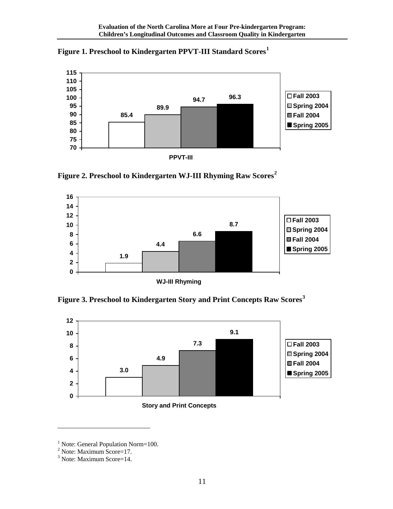<span id="page-11-0"></span>



**Figure 2. Preschool to Kindergarten WJ-III Rhyming Raw Scores[2](#page-11-2)** 



**Figure 3. Preschool to Kindergarten Story and Print Concepts Raw Scores[3](#page-11-3)** 



<span id="page-11-1"></span><sup>&</sup>lt;sup>1</sup> Note: General Population Norm=100.

<span id="page-11-2"></span><sup>2</sup> Note: Maximum Score=17.

<span id="page-11-3"></span><sup>&</sup>lt;sup>3</sup> Note: Maximum Score=14.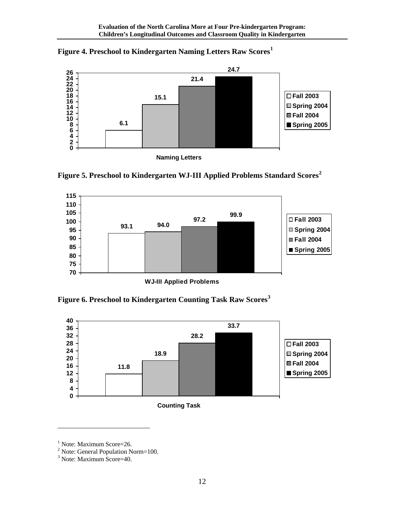<span id="page-12-0"></span>



**Figure 5. Preschool to Kindergarten WJ-III Applied Problems Standard Scores[2](#page-12-2)**



**Figure 6. Preschool to Kindergarten Counting Task Raw Scores[3](#page-12-3)** 



<span id="page-12-1"></span><sup>&</sup>lt;sup>1</sup> Note: Maximum Score=26.

<span id="page-12-2"></span> $2^2$  Note: General Population Norm=100.

<span id="page-12-3"></span><sup>3</sup> Note: Maximum Score=40.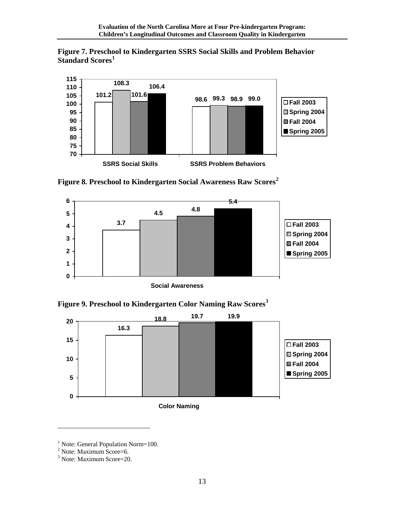<span id="page-13-0"></span>



**Figure 8. Preschool to Kindergarten Social Awareness Raw Scores[2](#page-13-2)** 







<span id="page-13-1"></span><sup>&</sup>lt;sup>1</sup> Note: General Population Norm=100.

<span id="page-13-2"></span><sup>&</sup>lt;sup>2</sup> Note: Maximum Score=6.

<span id="page-13-3"></span><sup>3</sup> Note: Maximum Score=20.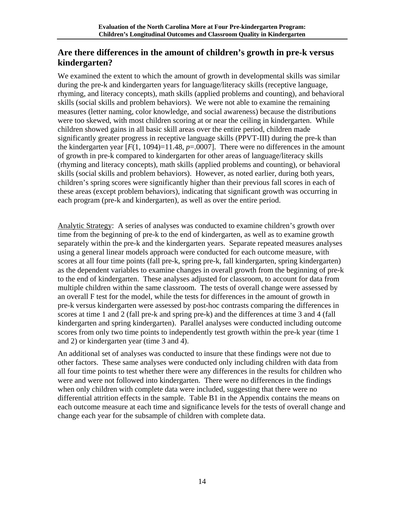## <span id="page-14-0"></span>**Are there differences in the amount of children's growth in pre-k versus kindergarten?**

We examined the extent to which the amount of growth in developmental skills was similar during the pre-k and kindergarten years for language/literacy skills (receptive language, rhyming, and literacy concepts), math skills (applied problems and counting), and behavioral skills (social skills and problem behaviors). We were not able to examine the remaining measures (letter naming, color knowledge, and social awareness) because the distributions were too skewed, with most children scoring at or near the ceiling in kindergarten. While children showed gains in all basic skill areas over the entire period, children made significantly greater progress in receptive language skills (PPVT-III) during the pre-k than the kindergarten year  $[F(1, 1094)=11.48$ ,  $p=.0007$ . There were no differences in the amount of growth in pre-k compared to kindergarten for other areas of language/literacy skills (rhyming and literacy concepts), math skills (applied problems and counting), or behavioral skills (social skills and problem behaviors). However, as noted earlier, during both years, children's spring scores were significantly higher than their previous fall scores in each of these areas (except problem behaviors), indicating that significant growth was occurring in each program (pre-k and kindergarten), as well as over the entire period.

Analytic Strategy: A series of analyses was conducted to examine children's growth over time from the beginning of pre-k to the end of kindergarten, as well as to examine growth separately within the pre-k and the kindergarten years. Separate repeated measures analyses using a general linear models approach were conducted for each outcome measure, with scores at all four time points (fall pre-k, spring pre-k, fall kindergarten, spring kindergarten) as the dependent variables to examine changes in overall growth from the beginning of pre-k to the end of kindergarten. These analyses adjusted for classroom, to account for data from multiple children within the same classroom. The tests of overall change were assessed by an overall F test for the model, while the tests for differences in the amount of growth in pre-k versus kindergarten were assessed by post-hoc contrasts comparing the differences in scores at time 1 and 2 (fall pre-k and spring pre-k) and the differences at time 3 and 4 (fall kindergarten and spring kindergarten). Parallel analyses were conducted including outcome scores from only two time points to independently test growth within the pre-k year (time 1 and 2) or kindergarten year (time 3 and 4).

An additional set of analyses was conducted to insure that these findings were not due to other factors. These same analyses were conducted only including children with data from all four time points to test whether there were any differences in the results for children who were and were not followed into kindergarten. There were no differences in the findings when only children with complete data were included, suggesting that there were no differential attrition effects in the sample. Table B1 in the Appendix contains the means on each outcome measure at each time and significance levels for the tests of overall change and change each year for the subsample of children with complete data.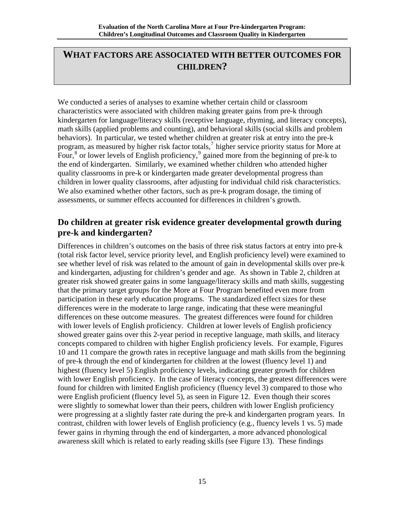## <span id="page-15-0"></span>**WHAT FACTORS ARE ASSOCIATED WITH BETTER OUTCOMES FOR CHILDREN?**

We conducted a series of analyses to examine whether certain child or classroom characteristics were associated with children making greater gains from pre-k through kindergarten for language/literacy skills (receptive language, rhyming, and literacy concepts), math skills (applied problems and counting), and behavioral skills (social skills and problem behaviors). In particular, we tested whether children at greater risk at entry into the pre-k program, as measured by higher risk factor totals,<sup>[7](#page-62-1)</sup> higher service priority status for More at Four,  $\frac{8}{3}$  $\frac{8}{3}$  $\frac{8}{3}$  or lower levels of English proficiency,  $\frac{9}{2}$  $\frac{9}{2}$  $\frac{9}{2}$  gained more from the beginning of pre-k to the end of kindergarten. Similarly, we examined whether children who attended higher quality classrooms in pre-k or kindergarten made greater developmental progress than children in lower quality classrooms, after adjusting for individual child risk characteristics. We also examined whether other factors, such as pre-k program dosage, the timing of assessments, or summer effects accounted for differences in children's growth.

## **Do children at greater risk evidence greater developmental growth during pre-k and kindergarten?**

Differences in children's outcomes on the basis of three risk status factors at entry into pre-k (total risk factor level, service priority level, and English proficiency level) were examined to see whether level of risk was related to the amount of gain in developmental skills over pre-k and kindergarten, adjusting for children's gender and age. As shown in Table 2, children at greater risk showed greater gains in some language/literacy skills and math skills, suggesting that the primary target groups for the More at Four Program benefited even more from participation in these early education programs. The standardized effect sizes for these differences were in the moderate to large range, indicating that these were meaningful differences on these outcome measures. The greatest differences were found for children with lower levels of English proficiency. Children at lower levels of English proficiency showed greater gains over this 2-year period in receptive language, math skills, and literacy concepts compared to children with higher English proficiency levels. For example, Figures 10 and 11 compare the growth rates in receptive language and math skills from the beginning of pre-k through the end of kindergarten for children at the lowest (fluency level 1) and highest (fluency level 5) English proficiency levels, indicating greater growth for children with lower English proficiency. In the case of literacy concepts, the greatest differences were found for children with limited English proficiency (fluency level 3) compared to those who were English proficient (fluency level 5), as seen in Figure 12. Even though their scores were slightly to somewhat lower than their peers, children with lower English proficiency were progressing at a slightly faster rate during the pre-k and kindergarten program years. In contrast, children with lower levels of English proficiency (e.g., fluency levels 1 vs. 5) made fewer gains in rhyming through the end of kindergarten, a more advanced phonological awareness skill which is related to early reading skills (see Figure 13). These findings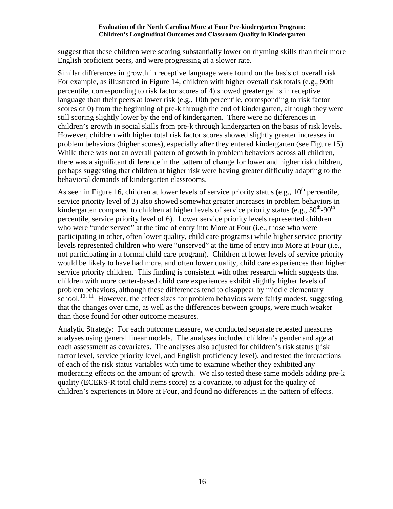suggest that these children were scoring substantially lower on rhyming skills than their more English proficient peers, and were progressing at a slower rate.

Similar differences in growth in receptive language were found on the basis of overall risk. For example, as illustrated in Figure 14, children with higher overall risk totals (e.g., 90th percentile, corresponding to risk factor scores of 4) showed greater gains in receptive language than their peers at lower risk (e.g., 10th percentile, corresponding to risk factor scores of 0) from the beginning of pre-k through the end of kindergarten, although they were still scoring slightly lower by the end of kindergarten. There were no differences in children's growth in social skills from pre-k through kindergarten on the basis of risk levels. However, children with higher total risk factor scores showed slightly greater increases in problem behaviors (higher scores), especially after they entered kindergarten (see Figure 15). While there was not an overall pattern of growth in problem behaviors across all children, there was a significant difference in the pattern of change for lower and higher risk children, perhaps suggesting that children at higher risk were having greater difficulty adapting to the behavioral demands of kindergarten classrooms.

As seen in Figure 16, children at lower levels of service priority status (e.g.,  $10^{th}$  percentile, service priority level of 3) also showed somewhat greater increases in problem behaviors in kindergarten compared to children at higher levels of service priority status (e.g.,  $50^{th}$ -90<sup>th</sup>) percentile, service priority level of 6). Lower service priority levels represented children who were "underserved" at the time of entry into More at Four (i.e., those who were participating in other, often lower quality, child care programs) while higher service priority levels represented children who were "unserved" at the time of entry into More at Four (i.e., not participating in a formal child care program). Children at lower levels of service priority would be likely to have had more, and often lower quality, child care experiences than higher service priority children. This finding is consistent with other research which suggests that children with more center-based child care experiences exhibit slightly higher levels of problem behaviors, although these differences tend to disappear by middle elementary school.<sup>[10](#page-62-1), [11](#page-62-1)</sup> However, the effect sizes for problem behaviors were fairly modest, suggesting that the changes over time, as well as the differences between groups, were much weaker than those found for other outcome measures.

Analytic Strategy: For each outcome measure, we conducted separate repeated measures analyses using general linear models. The analyses included children's gender and age at each assessment as covariates. The analyses also adjusted for children's risk status (risk factor level, service priority level, and English proficiency level), and tested the interactions of each of the risk status variables with time to examine whether they exhibited any moderating effects on the amount of growth. We also tested these same models adding pre-k quality (ECERS-R total child items score) as a covariate, to adjust for the quality of children's experiences in More at Four, and found no differences in the pattern of effects.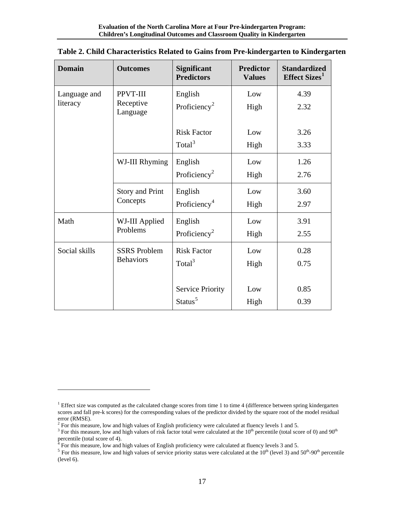| <b>Domain</b> | <b>Outcomes</b>       | <b>Significant</b><br><b>Predictors</b> | <b>Predictor</b><br><b>Values</b> | <b>Standardized</b><br>Effect Sizes <sup>1</sup> |
|---------------|-----------------------|-----------------------------------------|-----------------------------------|--------------------------------------------------|
| Language and  | PPVT-III              | English                                 | Low                               | 4.39                                             |
| literacy      | Receptive<br>Language | Proficiency <sup>2</sup>                | High                              | 2.32                                             |
|               |                       | <b>Risk Factor</b>                      | Low                               | 3.26                                             |
|               |                       | Total <sup>3</sup>                      | High                              | 3.33                                             |
|               | WJ-III Rhyming        | English                                 | Low                               | 1.26                                             |
|               |                       | Proficiency <sup>2</sup>                | High                              | 2.76                                             |
|               | Story and Print       | English                                 | Low                               | 3.60                                             |
|               | Concepts              | Proficiency <sup>4</sup>                | High                              | 2.97                                             |
| Math          | WJ-III Applied        | English                                 | Low                               | 3.91                                             |
|               | Problems              | Proficiency <sup>2</sup>                | High                              | 2.55                                             |
| Social skills | <b>SSRS</b> Problem   | <b>Risk Factor</b>                      | Low                               | 0.28                                             |
|               | <b>Behaviors</b>      | Total <sup>3</sup>                      | High                              | 0.75                                             |
|               |                       |                                         |                                   |                                                  |
|               |                       | <b>Service Priority</b>                 | Low                               | 0.85                                             |
|               |                       | Status <sup>5</sup>                     | High                              | 0.39                                             |

#### <span id="page-17-0"></span>**Table 2. Child Characteristics Related to Gains from Pre-kindergarten to Kindergarten**

<span id="page-17-1"></span><sup>&</sup>lt;sup>1</sup> Effect size was computed as the calculated change scores from time 1 to time 4 (difference between spring kindergarten scores and fall pre-k scores) for the corresponding values of the predictor divided by the square root of the model residual error (RMSE).

<sup>&</sup>lt;sup>2</sup> For this measure, low and high values of English proficiency were calculated at fluency levels 1 and 5.<br><sup>3</sup> For this measure, low and high values of right feater total ware seleculated at the  $10^{th}$  persontile (total

<span id="page-17-3"></span><span id="page-17-2"></span> $3$  For this measure, low and high values of risk factor total were calculated at the  $10^{th}$  percentile (total score of 0) and  $90^{th}$ percentile (total score of 4).

<span id="page-17-5"></span><span id="page-17-4"></span><sup>&</sup>lt;sup>5</sup> For this measure, low and high values of service priority status were calculated at the 10<sup>th</sup> (level 3) and 50<sup>th</sup>-90<sup>th</sup> percentile (level 6).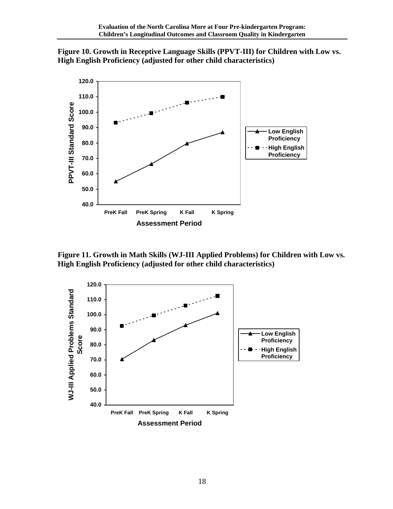<span id="page-18-0"></span>



**Figure 11. Growth in Math Skills (WJ-III Applied Problems) for Children with Low vs. High English Proficiency (adjusted for other child characteristics)** 

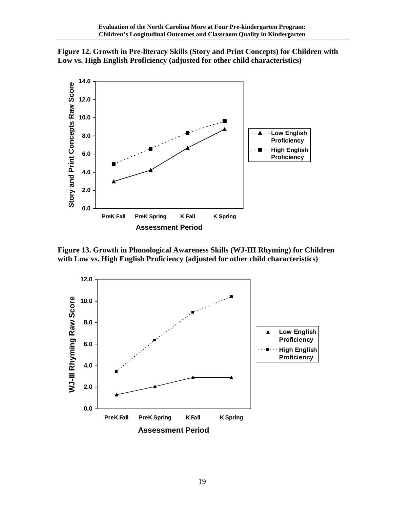<span id="page-19-0"></span>



**Figure 13. Growth in Phonological Awareness Skills (WJ-III Rhyming) for Children with Low vs. High English Proficiency (adjusted for other child characteristics)** 

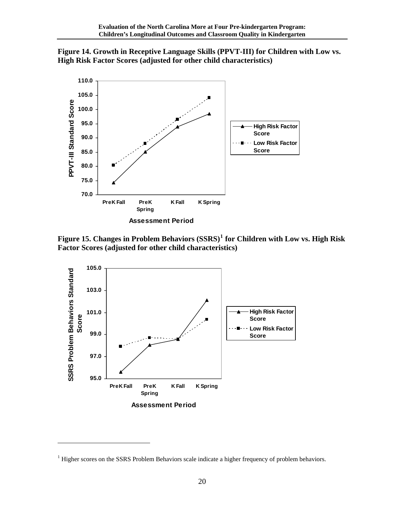<span id="page-20-0"></span>



**Figure 15. Changes in Problem Behaviors (SSRS)[1](#page-20-1) for Children with Low vs. High Risk Factor Scores (adjusted for other child characteristics)** 



<span id="page-20-1"></span> $<sup>1</sup>$  Higher scores on the SSRS Problem Behaviors scale indicate a higher frequency of problem behaviors.</sup>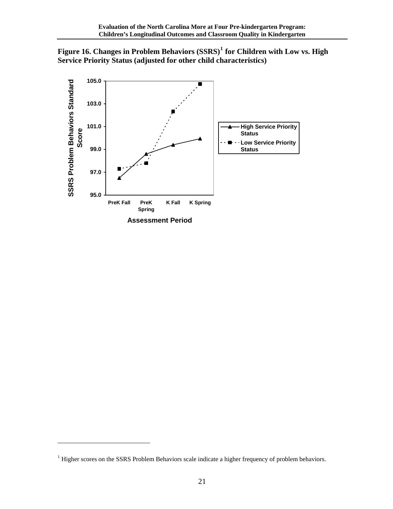<span id="page-21-0"></span>



<span id="page-21-1"></span> $<sup>1</sup>$  Higher scores on the SSRS Problem Behaviors scale indicate a higher frequency of problem behaviors.</sup>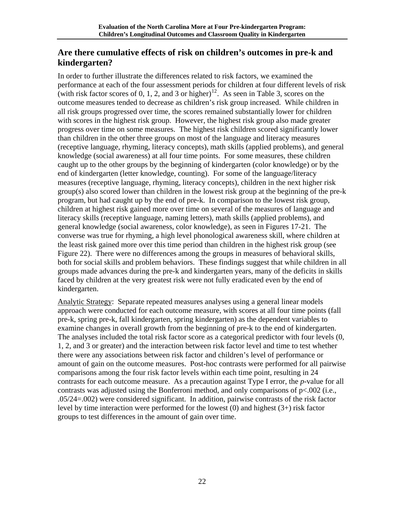## <span id="page-22-0"></span>**Are there cumulative effects of risk on children's outcomes in pre-k and kindergarten?**

In order to further illustrate the differences related to risk factors, we examined the performance at each of the four assessment periods for children at four different levels of risk (with risk factor scores of 0, 1, 2, and 3 or higher)<sup>[12](#page-62-1)</sup>. As seen in Table 3, scores on the outcome measures tended to decrease as children's risk group increased. While children in all risk groups progressed over time, the scores remained substantially lower for children with scores in the highest risk group. However, the highest risk group also made greater progress over time on some measures. The highest risk children scored significantly lower than children in the other three groups on most of the language and literacy measures (receptive language, rhyming, literacy concepts), math skills (applied problems), and general knowledge (social awareness) at all four time points. For some measures, these children caught up to the other groups by the beginning of kindergarten (color knowledge) or by the end of kindergarten (letter knowledge, counting). For some of the language/literacy measures (receptive language, rhyming, literacy concepts), children in the next higher risk group(s) also scored lower than children in the lowest risk group at the beginning of the pre-k program, but had caught up by the end of pre-k. In comparison to the lowest risk group, children at highest risk gained more over time on several of the measures of language and literacy skills (receptive language, naming letters), math skills (applied problems), and general knowledge (social awareness, color knowledge), as seen in Figures 17-21. The converse was true for rhyming, a high level phonological awareness skill, where children at the least risk gained more over this time period than children in the highest risk group (see Figure 22). There were no differences among the groups in measures of behavioral skills, both for social skills and problem behaviors. These findings suggest that while children in all groups made advances during the pre-k and kindergarten years, many of the deficits in skills faced by children at the very greatest risk were not fully eradicated even by the end of kindergarten.

Analytic Strategy: Separate repeated measures analyses using a general linear models approach were conducted for each outcome measure, with scores at all four time points (fall pre-k, spring pre-k, fall kindergarten, spring kindergarten) as the dependent variables to examine changes in overall growth from the beginning of pre-k to the end of kindergarten. The analyses included the total risk factor score as a categorical predictor with four levels (0, 1, 2, and 3 or greater) and the interaction between risk factor level and time to test whether there were any associations between risk factor and children's level of performance or amount of gain on the outcome measures. Post-hoc contrasts were performed for all pairwise comparisons among the four risk factor levels within each time point, resulting in 24 contrasts for each outcome measure. As a precaution against Type I error, the *p*-value for all contrasts was adjusted using the Bonferroni method, and only comparisons of p<.002 (i.e., .05/24=.002) were considered significant. In addition, pairwise contrasts of the risk factor level by time interaction were performed for the lowest (0) and highest (3+) risk factor groups to test differences in the amount of gain over time.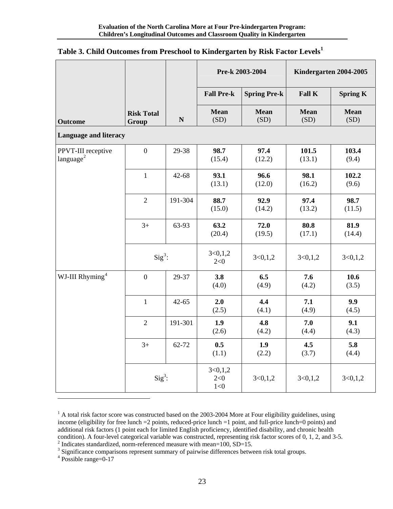|                                             |                            |             | Pre-k 2003-2004           |                     |                     | Kindergarten 2004-2005 |  |  |
|---------------------------------------------|----------------------------|-------------|---------------------------|---------------------|---------------------|------------------------|--|--|
|                                             |                            |             | <b>Fall Pre-k</b>         | <b>Spring Pre-k</b> | Fall K              | <b>Spring K</b>        |  |  |
| <b>Outcome</b>                              | <b>Risk Total</b><br>Group | $\mathbf N$ | <b>Mean</b><br>(SD)       | <b>Mean</b><br>(SD) | <b>Mean</b><br>(SD) | <b>Mean</b><br>(SD)    |  |  |
| <b>Language and literacy</b>                |                            |             |                           |                     |                     |                        |  |  |
| PPVT-III receptive<br>language <sup>2</sup> | $\mathbf{0}$               | 29-38       | 98.7<br>(15.4)            | 97.4<br>(12.2)      | 101.5<br>(13.1)     | 103.4<br>(9.4)         |  |  |
|                                             | $\mathbf{1}$               | $42 - 68$   | 93.1<br>(13.1)            | 96.6<br>(12.0)      | 98.1<br>(16.2)      | 102.2<br>(9.6)         |  |  |
|                                             | $\overline{2}$             | 191-304     | 88.7<br>(15.0)            | 92.9<br>(14.2)      | 97.4<br>(13.2)      | 98.7<br>(11.5)         |  |  |
|                                             | $3+$                       | 63-93       | 63.2<br>(20.4)            | 72.0<br>(19.5)      | 80.8<br>(17.1)      | 81.9<br>(14.4)         |  |  |
|                                             | $Sig^3$ :                  |             | 3<0,1,2<br>2 < 0          | 3<0,1,2             | 3 < 0, 1, 2         | 3<0,1,2                |  |  |
| WJ-III Rhyming <sup>4</sup>                 | $\overline{0}$             | 29-37       | 3.8<br>(4.0)              | 6.5<br>(4.9)        | 7.6<br>(4.2)        | 10.6<br>(3.5)          |  |  |
|                                             | $\mathbf{1}$               | $42 - 65$   | 2.0<br>(2.5)              | 4.4<br>(4.1)        | 7.1<br>(4.9)        | 9.9<br>(4.5)           |  |  |
|                                             | $\overline{2}$             | 191-301     | 1.9<br>(2.6)              | 4.8<br>(4.2)        | 7.0<br>(4.4)        | 9.1<br>(4.3)           |  |  |
|                                             | $3+$                       | 62-72       | 0.5<br>(1.1)              | 1.9<br>(2.2)        | 4.5<br>(3.7)        | 5.8<br>(4.4)           |  |  |
|                                             | $Sig^3$ :                  |             | 3<0,1,2<br>2 < 0<br>$1<0$ | 3<0,1,2             | 3<0,1,2             | 3 < 0, 1, 2            |  |  |

### <span id="page-23-0"></span>**Table 3. Child Outcomes from Preschool to Kindergarten by Risk Factor Levels[1](#page-23-1)**

<span id="page-23-1"></span> $<sup>1</sup>$  A total risk factor score was constructed based on the 2003-2004 More at Four eligibility guidelines, using</sup> income (eligibility for free lunch =2 points, reduced-price lunch =1 point, and full-price lunch=0 points) and additional risk factors (1 point each for limited English proficiency, identified disability, and chronic health condition). A four-level categorical variable was constructed, representing risk factor scores of 0, 1, 2, and 3-5.  $^{2}$  Indicates standardized, norm referenced measure with mean-100,  $SD-15$ 

 $\frac{1}{2}$  Indicates standardized, norm-referenced measure with mean=100, SD=15.  $\frac{3}{2}$  Significance comparisons represent summary of pointing differences between

<span id="page-23-3"></span><span id="page-23-2"></span><sup>3</sup> Significance comparisons represent summary of pairwise differences between risk total groups.

<span id="page-23-4"></span>Possible range=0-17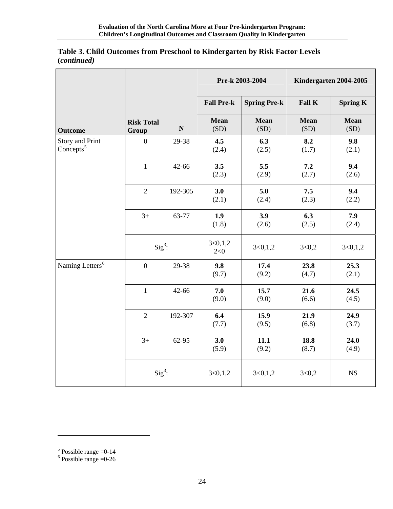|                                        |                            |             | Pre-k 2003-2004   |                     | Kindergarten 2004-2005 |                 |  |
|----------------------------------------|----------------------------|-------------|-------------------|---------------------|------------------------|-----------------|--|
|                                        |                            |             | <b>Fall Pre-k</b> | <b>Spring Pre-k</b> | Fall K                 | <b>Spring K</b> |  |
| <b>Outcome</b>                         | <b>Risk Total</b><br>Group | $\mathbf N$ | Mean<br>(SD)      | <b>Mean</b><br>(SD) | <b>Mean</b><br>(SD)    | Mean<br>(SD)    |  |
| <b>Story and Print</b><br>Concepts $5$ | $\overline{0}$             | 29-38       | 4.5<br>(2.4)      | 6.3<br>(2.5)        | 8.2<br>(1.7)           | 9.8<br>(2.1)    |  |
|                                        | $\mathbf{1}$               | $42 - 66$   | 3.5<br>(2.3)      | 5.5<br>(2.9)        | 7.2<br>(2.7)           | 9.4<br>(2.6)    |  |
|                                        | $\overline{2}$             | 192-305     | 3.0<br>(2.1)      | 5.0<br>(2.4)        | 7.5<br>(2.3)           | 9.4<br>(2.2)    |  |
|                                        | $3+$                       | 63-77       | 1.9<br>(1.8)      | 3.9<br>(2.6)        | 6.3<br>(2.5)           | 7.9<br>(2.4)    |  |
|                                        | $Sig^3$ :                  |             | 3<0,1,2<br>2 < 0  | 3<0,1,2             | 3<0,2                  | 3 < 0, 1, 2     |  |
| Naming Letters <sup>6</sup>            | $\overline{0}$             | 29-38       | 9.8<br>(9.7)      | 17.4<br>(9.2)       | 23.8<br>(4.7)          | 25.3<br>(2.1)   |  |
|                                        | $\mathbf{1}$               | $42 - 66$   | 7.0<br>(9.0)      | 15.7<br>(9.0)       | 21.6<br>(6.6)          | 24.5<br>(4.5)   |  |
|                                        | $\overline{2}$             | 192-307     | 6.4<br>(7.7)      | 15.9<br>(9.5)       | 21.9<br>(6.8)          | 24.9<br>(3.7)   |  |
|                                        | $3+$                       | 62-95       | 3.0<br>(5.9)      | 11.1<br>(9.2)       | 18.8<br>(8.7)          | 24.0<br>(4.9)   |  |
|                                        | $Sig^3$ :                  |             | 3 < 0, 1, 2       | 3<0,1,2             | 3<0,2                  | <b>NS</b>       |  |

#### **Table 3. Child Outcomes from Preschool to Kindergarten by Risk Factor Levels (***continued)*

<span id="page-24-1"></span><span id="page-24-0"></span><sup>&</sup>lt;sup>5</sup> Possible range = 0-14 <br><sup>6</sup> Possible range = 0-26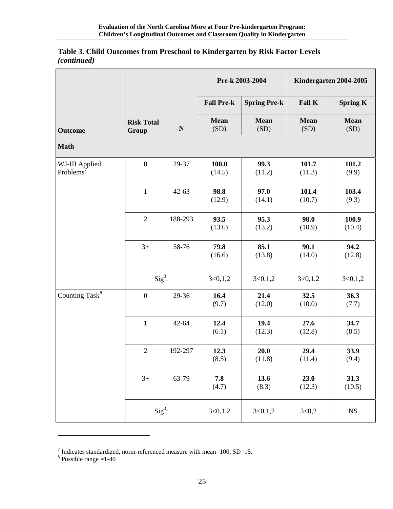| Table 3. Child Outcomes from Preschool to Kindergarten by Risk Factor Levels |  |
|------------------------------------------------------------------------------|--|
| <i>(continued)</i>                                                           |  |

|                                         |                            |             | Pre-k 2003-2004     |                     |                     | Kindergarten 2004-2005 |
|-----------------------------------------|----------------------------|-------------|---------------------|---------------------|---------------------|------------------------|
|                                         |                            |             | <b>Fall Pre-k</b>   | <b>Spring Pre-k</b> | <b>Fall K</b>       | <b>Spring K</b>        |
| <b>Outcome</b>                          | <b>Risk Total</b><br>Group | $\mathbf N$ | <b>Mean</b><br>(SD) | Mean<br>(SD)        | <b>Mean</b><br>(SD) | <b>Mean</b><br>(SD)    |
| <b>Math</b>                             |                            |             |                     |                     |                     |                        |
| WJ-III Applied<br>Problems <sup>7</sup> | $\boldsymbol{0}$           | 29-37       | 100.0<br>(14.5)     | 99.3<br>(11.2)      | 101.7<br>(11.3)     | 101.2<br>(9.9)         |
|                                         | $\mathbf 1$                | $42 - 63$   | 98.8<br>(12.9)      | 97.0<br>(14.1)      | 101.4<br>(10.7)     | 103.4<br>(9.3)         |
|                                         | $\overline{2}$             | 188-293     | 93.5<br>(13.6)      | 95.3<br>(13.2)      | 98.0<br>(10.9)      | 100.9<br>(10.4)        |
|                                         | $3+$                       | 58-76       | 79.8<br>(16.6)      | 85.1<br>(13.8)      | 90.1<br>(14.0)      | 94.2<br>(12.8)         |
|                                         | $Sig^3$ :                  |             | 3 < 0, 1, 2         | 3 < 0, 1, 2         | 3 < 0, 1, 2         | 3 < 0, 1, 2            |
| Counting Task <sup>8</sup>              | $\boldsymbol{0}$           | 29-36       | 16.4<br>(9.7)       | 21.4<br>(12.0)      | 32.5<br>(10.0)      | 36.3<br>(7.7)          |
|                                         | $\mathbf{1}$               | $42 - 64$   | 12.4<br>(6.1)       | 19.4<br>(12.3)      | 27.6<br>(12.8)      | 34.7<br>(8.5)          |
|                                         | $\sqrt{2}$                 | 192-297     | 12.3<br>(8.5)       | 20.0<br>(11.8)      | 29.4<br>(11.4)      | 33.9<br>(9.4)          |
|                                         | $3+$                       | 63-79       | 7.8<br>(4.7)        | 13.6<br>(8.3)       | 23.0<br>(12.3)      | 31.3<br>(10.5)         |
|                                         | $Sig^3$ :                  |             | 3<0,1,2             | 3<0,1,2             | 3<0,2               | $_{\rm NS}$            |

<span id="page-25-1"></span><span id="page-25-0"></span><sup>&</sup>lt;sup>7</sup> Indicates standardized, norm-referenced measure with mean=100, SD=15. <sup>8</sup> Possible range =1-40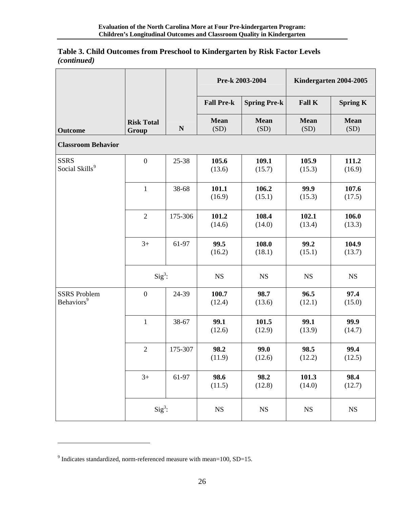| Table 3. Child Outcomes from Preschool to Kindergarten by Risk Factor Levels |  |
|------------------------------------------------------------------------------|--|
| <i>(continued)</i>                                                           |  |

|                                               |                            | Pre-k 2003-2004<br>Kindergarten 2004-2005 |                     |                     |                     |                     |
|-----------------------------------------------|----------------------------|-------------------------------------------|---------------------|---------------------|---------------------|---------------------|
|                                               |                            |                                           | <b>Fall Pre-k</b>   | <b>Spring Pre-k</b> | <b>Fall K</b>       | <b>Spring K</b>     |
| <b>Outcome</b>                                | <b>Risk Total</b><br>Group | ${\bf N}$                                 | <b>Mean</b><br>(SD) | <b>Mean</b><br>(SD) | <b>Mean</b><br>(SD) | <b>Mean</b><br>(SD) |
| <b>Classroom Behavior</b>                     |                            |                                           |                     |                     |                     |                     |
| <b>SSRS</b><br>Social Skills <sup>9</sup>     | $\boldsymbol{0}$           | 25-38                                     | 105.6<br>(13.6)     | 109.1<br>(15.7)     | 105.9<br>(15.3)     | 111.2<br>(16.9)     |
|                                               | $\mathbf 1$                | 38-68                                     | 101.1<br>(16.9)     | 106.2<br>(15.1)     | 99.9<br>(15.3)      | 107.6<br>(17.5)     |
|                                               | $\sqrt{2}$                 | 175-306                                   | 101.2<br>(14.6)     | 108.4<br>(14.0)     | 102.1<br>(13.4)     | 106.0<br>(13.3)     |
|                                               | $3+$                       | 61-97                                     | 99.5<br>(16.2)      | 108.0<br>(18.1)     | 99.2<br>(15.1)      | 104.9<br>(13.7)     |
|                                               | $Sig^3$ :                  |                                           | $_{\rm NS}$         | <b>NS</b>           | <b>NS</b>           | NS                  |
| <b>SSRS</b> Problem<br>Behaviors <sup>9</sup> | $\boldsymbol{0}$           | 24-39                                     | 100.7<br>(12.4)     | 98.7<br>(13.6)      | 96.5<br>(12.1)      | 97.4<br>(15.0)      |
|                                               | $\mathbf{1}$               | 38-67                                     | 99.1<br>(12.6)      | 101.5<br>(12.9)     | 99.1<br>(13.9)      | 99.9<br>(14.7)      |
|                                               | $\sqrt{2}$                 | 175-307                                   | 98.2<br>(11.9)      | 99.0<br>(12.6)      | 98.5<br>(12.2)      | 99.4<br>(12.5)      |
|                                               | $3+$                       | 61-97                                     | 98.6<br>(11.5)      | 98.2<br>(12.8)      | 101.3<br>(14.0)     | 98.4<br>(12.7)      |
|                                               | $Sig^3$ :                  |                                           | $_{\rm NS}$         | <b>NS</b>           | $_{\rm NS}$         | <b>NS</b>           |

<span id="page-26-0"></span> $9$  Indicates standardized, norm-referenced measure with mean=100, SD=15.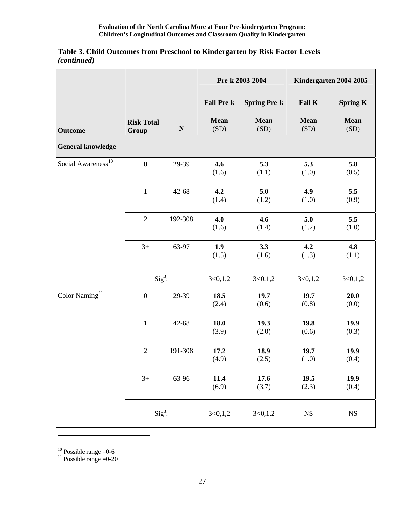| Table 3. Child Outcomes from Preschool to Kindergarten by Risk Factor Levels |  |
|------------------------------------------------------------------------------|--|
| <i>(continued)</i>                                                           |  |

|                                |                            | Kindergarten 2004-2005<br>Pre-k 2003-2004 |                     |                     |                     |                     |
|--------------------------------|----------------------------|-------------------------------------------|---------------------|---------------------|---------------------|---------------------|
|                                |                            |                                           | <b>Fall Pre-k</b>   | <b>Spring Pre-k</b> | Fall K              | <b>Spring K</b>     |
| <b>Outcome</b>                 | <b>Risk Total</b><br>Group | ${\bf N}$                                 | <b>Mean</b><br>(SD) | <b>Mean</b><br>(SD) | <b>Mean</b><br>(SD) | <b>Mean</b><br>(SD) |
| <b>General knowledge</b>       |                            |                                           |                     |                     |                     |                     |
| Social Awareness <sup>10</sup> | $\boldsymbol{0}$           | 29-39                                     | 4.6<br>(1.6)        | 5.3<br>(1.1)        | 5.3<br>(1.0)        | 5.8<br>(0.5)        |
|                                | $\mathbf{1}$               | $42 - 68$                                 | 4.2<br>(1.4)        | 5.0<br>(1.2)        | 4.9<br>(1.0)        | 5.5<br>(0.9)        |
|                                | $\overline{2}$             | 192-308                                   | 4.0<br>(1.6)        | 4.6<br>(1.4)        | 5.0<br>(1.2)        | 5.5<br>(1.0)        |
|                                | $3+$                       | 63-97                                     | 1.9<br>(1.5)        | 3.3<br>(1.6)        | 4.2<br>(1.3)        | 4.8<br>(1.1)        |
|                                | $Sig^3$ :                  |                                           | 3<0,1,2             | 3 < 0, 1, 2         | 3<0,1,2             | 3 < 0, 1, 2         |
| Color Naming <sup>11</sup>     | $\boldsymbol{0}$           | 29-39                                     | 18.5<br>(2.4)       | 19.7<br>(0.6)       | 19.7<br>(0.8)       | 20.0<br>(0.0)       |
|                                | $\,1$                      | $42 - 68$                                 | 18.0<br>(3.9)       | 19.3<br>(2.0)       | 19.8<br>(0.6)       | 19.9<br>(0.3)       |
|                                | $\overline{2}$             | 191-308                                   | 17.2<br>(4.9)       | 18.9<br>(2.5)       | 19.7<br>(1.0)       | 19.9<br>(0.4)       |
|                                | $3+$                       | 63-96                                     | 11.4<br>(6.9)       | 17.6<br>(3.7)       | 19.5<br>(2.3)       | 19.9<br>(0.4)       |
|                                | $Sig^3$ :                  |                                           | 3<0,1,2             | 3<0,1,2             | $_{\rm NS}$         | $_{\rm NS}$         |

<span id="page-27-0"></span> $10$  Possible range = 0-6

 $\overline{a}$ 

<span id="page-27-1"></span><sup>11</sup> Possible range  $=0$ -20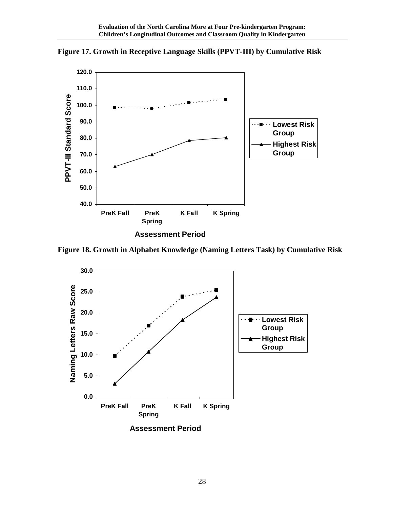

<span id="page-28-0"></span>**Figure 17. Growth in Receptive Language Skills (PPVT-III) by Cumulative Risk** 

**Figure 18. Growth in Alphabet Knowledge (Naming Letters Task) by Cumulative Risk** 

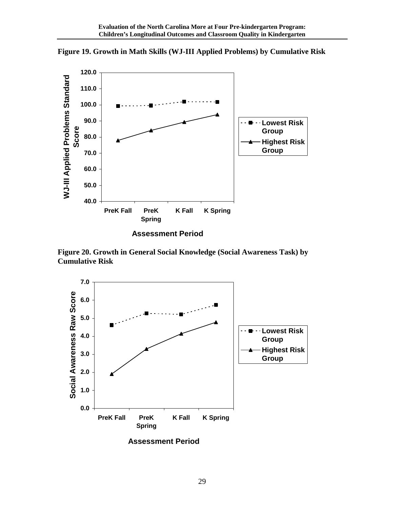

<span id="page-29-0"></span>**Figure 19. Growth in Math Skills (WJ-III Applied Problems) by Cumulative Risk** 

**Assessment Period**

**Figure 20. Growth in General Social Knowledge (Social Awareness Task) by Cumulative Risk** 



**Assessment Period**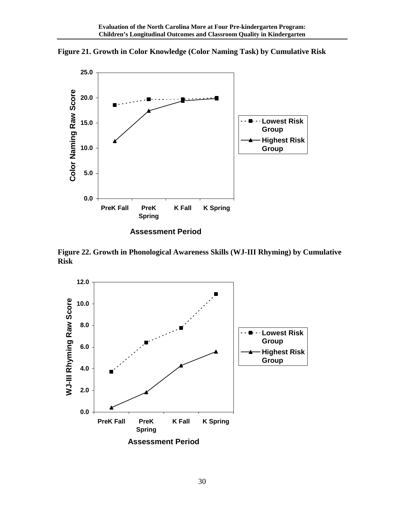

<span id="page-30-0"></span>**Figure 21. Growth in Color Knowledge (Color Naming Task) by Cumulative Risk** 

**Assessment Period**

**Figure 22. Growth in Phonological Awareness Skills (WJ-III Rhyming) by Cumulative Risk** 

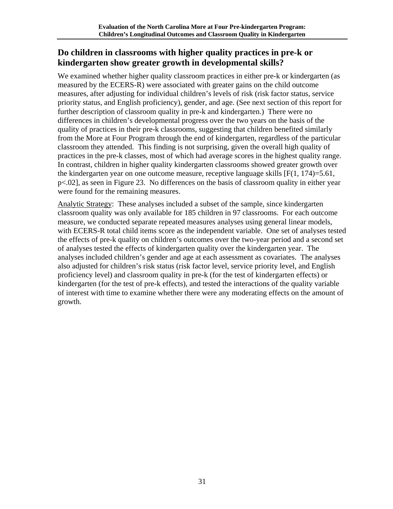## <span id="page-31-0"></span>**Do children in classrooms with higher quality practices in pre-k or kindergarten show greater growth in developmental skills?**

We examined whether higher quality classroom practices in either pre-k or kindergarten (as measured by the ECERS-R) were associated with greater gains on the child outcome measures, after adjusting for individual children's levels of risk (risk factor status, service priority status, and English proficiency), gender, and age. (See next section of this report for further description of classroom quality in pre-k and kindergarten.) There were no differences in children's developmental progress over the two years on the basis of the quality of practices in their pre-k classrooms, suggesting that children benefited similarly from the More at Four Program through the end of kindergarten, regardless of the particular classroom they attended. This finding is not surprising, given the overall high quality of practices in the pre-k classes, most of which had average scores in the highest quality range. In contrast, children in higher quality kindergarten classrooms showed greater growth over the kindergarten year on one outcome measure, receptive language skills  $[F(1, 174)=5.61]$ , p<.02], as seen in Figure 23. No differences on the basis of classroom quality in either year were found for the remaining measures.

Analytic Strategy: These analyses included a subset of the sample, since kindergarten classroom quality was only available for 185 children in 97 classrooms. For each outcome measure, we conducted separate repeated measures analyses using general linear models, with ECERS-R total child items score as the independent variable. One set of analyses tested the effects of pre-k quality on children's outcomes over the two-year period and a second set of analyses tested the effects of kindergarten quality over the kindergarten year. The analyses included children's gender and age at each assessment as covariates. The analyses also adjusted for children's risk status (risk factor level, service priority level, and English proficiency level) and classroom quality in pre-k (for the test of kindergarten effects) or kindergarten (for the test of pre-k effects), and tested the interactions of the quality variable of interest with time to examine whether there were any moderating effects on the amount of growth.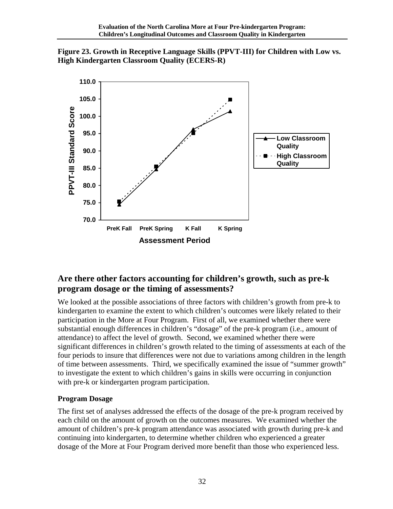<span id="page-32-0"></span>



## **Are there other factors accounting for children's growth, such as pre-k program dosage or the timing of assessments?**

We looked at the possible associations of three factors with children's growth from pre-k to kindergarten to examine the extent to which children's outcomes were likely related to their participation in the More at Four Program. First of all, we examined whether there were substantial enough differences in children's "dosage" of the pre-k program (i.e., amount of attendance) to affect the level of growth. Second, we examined whether there were significant differences in children's growth related to the timing of assessments at each of the four periods to insure that differences were not due to variations among children in the length of time between assessments. Third, we specifically examined the issue of "summer growth" to investigate the extent to which children's gains in skills were occurring in conjunction with pre-k or kindergarten program participation.

#### **Program Dosage**

The first set of analyses addressed the effects of the dosage of the pre-k program received by each child on the amount of growth on the outcomes measures. We examined whether the amount of children's pre-k program attendance was associated with growth during pre-k and continuing into kindergarten, to determine whether children who experienced a greater dosage of the More at Four Program derived more benefit than those who experienced less.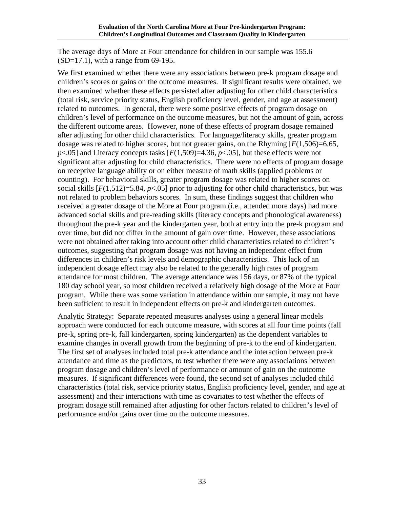The average days of More at Four attendance for children in our sample was 155.6  $(SD=17.1)$ , with a range from 69-195.

We first examined whether there were any associations between pre-k program dosage and children's scores or gains on the outcome measures. If significant results were obtained, we then examined whether these effects persisted after adjusting for other child characteristics (total risk, service priority status, English proficiency level, gender, and age at assessment) related to outcomes. In general, there were some positive effects of program dosage on children's level of performance on the outcome measures, but not the amount of gain, across the different outcome areas. However, none of these effects of program dosage remained after adjusting for other child characteristics. For language/literacy skills, greater program dosage was related to higher scores, but not greater gains, on the Rhyming  $[F(1,506)=6.65]$ ,  $p$ <.05] and Literacy concepts tasks  $[F(1,509)=4.36, p<.05]$ , but these effects were not significant after adjusting for child characteristics. There were no effects of program dosage on receptive language ability or on either measure of math skills (applied problems or counting). For behavioral skills, greater program dosage was related to higher scores on social skills  $[F(1,512)=5.84, p<0.05]$  prior to adjusting for other child characteristics, but was not related to problem behaviors scores. In sum, these findings suggest that children who received a greater dosage of the More at Four program (i.e., attended more days) had more advanced social skills and pre-reading skills (literacy concepts and phonological awareness) throughout the pre-k year and the kindergarten year, both at entry into the pre-k program and over time, but did not differ in the amount of gain over time. However, these associations were not obtained after taking into account other child characteristics related to children's outcomes, suggesting that program dosage was not having an independent effect from differences in children's risk levels and demographic characteristics. This lack of an independent dosage effect may also be related to the generally high rates of program attendance for most children. The average attendance was 156 days, or 87% of the typical 180 day school year, so most children received a relatively high dosage of the More at Four program. While there was some variation in attendance within our sample, it may not have been sufficient to result in independent effects on pre-k and kindergarten outcomes.

Analytic Strategy: Separate repeated measures analyses using a general linear models approach were conducted for each outcome measure, with scores at all four time points (fall pre-k, spring pre-k, fall kindergarten, spring kindergarten) as the dependent variables to examine changes in overall growth from the beginning of pre-k to the end of kindergarten. The first set of analyses included total pre-k attendance and the interaction between pre-k attendance and time as the predictors, to test whether there were any associations between program dosage and children's level of performance or amount of gain on the outcome measures. If significant differences were found, the second set of analyses included child characteristics (total risk, service priority status, English proficiency level, gender, and age at assessment) and their interactions with time as covariates to test whether the effects of program dosage still remained after adjusting for other factors related to children's level of performance and/or gains over time on the outcome measures.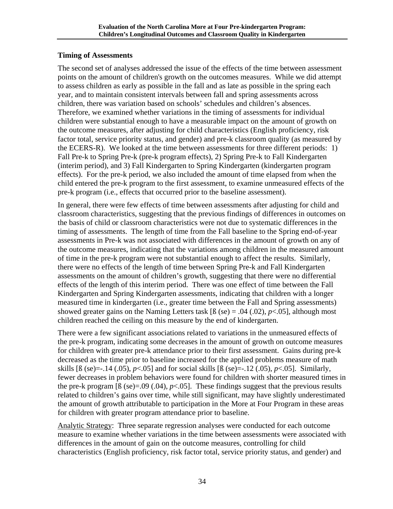#### **Timing of Assessments**

The second set of analyses addressed the issue of the effects of the time between assessment points on the amount of children's growth on the outcomes measures. While we did attempt to assess children as early as possible in the fall and as late as possible in the spring each year, and to maintain consistent intervals between fall and spring assessments across children, there was variation based on schools' schedules and children's absences. Therefore, we examined whether variations in the timing of assessments for individual children were substantial enough to have a measurable impact on the amount of growth on the outcome measures, after adjusting for child characteristics (English proficiency, risk factor total, service priority status, and gender) and pre-k classroom quality (as measured by the ECERS-R). We looked at the time between assessments for three different periods: 1) Fall Pre-k to Spring Pre-k (pre-k program effects), 2) Spring Pre-k to Fall Kindergarten (interim period), and 3) Fall Kindergarten to Spring Kindergarten (kindergarten program effects). For the pre-k period, we also included the amount of time elapsed from when the child entered the pre-k program to the first assessment, to examine unmeasured effects of the pre-k program (i.e., effects that occurred prior to the baseline assessment).

In general, there were few effects of time between assessments after adjusting for child and classroom characteristics, suggesting that the previous findings of differences in outcomes on the basis of child or classroom characteristics were not due to systematic differences in the timing of assessments. The length of time from the Fall baseline to the Spring end-of-year assessments in Pre-k was not associated with differences in the amount of growth on any of the outcome measures, indicating that the variations among children in the measured amount of time in the pre-k program were not substantial enough to affect the results. Similarly, there were no effects of the length of time between Spring Pre-k and Fall Kindergarten assessments on the amount of children's growth, suggesting that there were no differential effects of the length of this interim period. There was one effect of time between the Fall Kindergarten and Spring Kindergarten assessments, indicating that children with a longer measured time in kindergarten (i.e., greater time between the Fall and Spring assessments) showed greater gains on the Naming Letters task  $\lceil \beta \rceil$  (se) = .04 (.02), *p*<.05], although most children reached the ceiling on this measure by the end of kindergarten.

There were a few significant associations related to variations in the unmeasured effects of the pre-k program, indicating some decreases in the amount of growth on outcome measures for children with greater pre-k attendance prior to their first assessment. Gains during pre-k decreased as the time prior to baseline increased for the applied problems measure of math skills  $[6$  (se)=-.14 (.05),  $p<0.05$ ] and for social skills  $[6$  (se)=-.12 (.05),  $p<0.05$ ]. Similarly, fewer decreases in problem behaviors were found for children with shorter measured times in the pre-k program  $\lceil \beta \rceil$  (se)=.09 (.04), *p*<.05]. These findings suggest that the previous results related to children's gains over time, while still significant, may have slightly underestimated the amount of growth attributable to participation in the More at Four Program in these areas for children with greater program attendance prior to baseline.

Analytic Strategy: Three separate regression analyses were conducted for each outcome measure to examine whether variations in the time between assessments were associated with differences in the amount of gain on the outcome measures, controlling for child characteristics (English proficiency, risk factor total, service priority status, and gender) and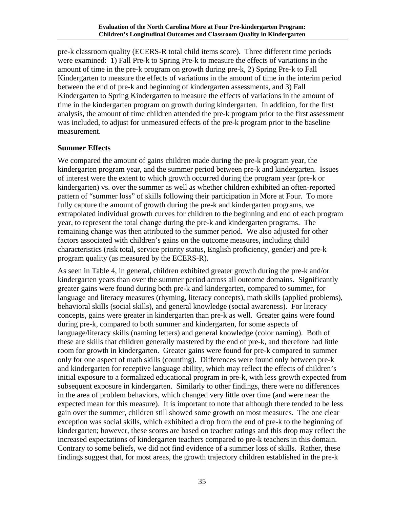pre-k classroom quality (ECERS-R total child items score). Three different time periods were examined: 1) Fall Pre-k to Spring Pre-k to measure the effects of variations in the amount of time in the pre-k program on growth during pre-k, 2) Spring Pre-k to Fall Kindergarten to measure the effects of variations in the amount of time in the interim period between the end of pre-k and beginning of kindergarten assessments, and 3) Fall Kindergarten to Spring Kindergarten to measure the effects of variations in the amount of time in the kindergarten program on growth during kindergarten. In addition, for the first analysis, the amount of time children attended the pre-k program prior to the first assessment was included, to adjust for unmeasured effects of the pre-k program prior to the baseline measurement.

#### **Summer Effects**

We compared the amount of gains children made during the pre-k program year, the kindergarten program year, and the summer period between pre-k and kindergarten. Issues of interest were the extent to which growth occurred during the program year (pre-k or kindergarten) vs. over the summer as well as whether children exhibited an often-reported pattern of "summer loss" of skills following their participation in More at Four. To more fully capture the amount of growth during the pre-k and kindergarten programs, we extrapolated individual growth curves for children to the beginning and end of each program year, to represent the total change during the pre-k and kindergarten programs. The remaining change was then attributed to the summer period. We also adjusted for other factors associated with children's gains on the outcome measures, including child characteristics (risk total, service priority status, English proficiency, gender) and pre-k program quality (as measured by the ECERS-R).

As seen in Table 4, in general, children exhibited greater growth during the pre-k and/or kindergarten years than over the summer period across all outcome domains. Significantly greater gains were found during both pre-k and kindergarten, compared to summer, for language and literacy measures (rhyming, literacy concepts), math skills (applied problems), behavioral skills (social skills), and general knowledge (social awareness). For literacy concepts, gains were greater in kindergarten than pre-k as well. Greater gains were found during pre-k, compared to both summer and kindergarten, for some aspects of language/literacy skills (naming letters) and general knowledge (color naming). Both of these are skills that children generally mastered by the end of pre-k, and therefore had little room for growth in kindergarten. Greater gains were found for pre-k compared to summer only for one aspect of math skills (counting). Differences were found only between pre-k and kindergarten for receptive language ability, which may reflect the effects of children's initial exposure to a formalized educational program in pre-k, with less growth expected from subsequent exposure in kindergarten. Similarly to other findings, there were no differences in the area of problem behaviors, which changed very little over time (and were near the expected mean for this measure). It is important to note that although there tended to be less gain over the summer, children still showed some growth on most measures. The one clear exception was social skills, which exhibited a drop from the end of pre-k to the beginning of kindergarten; however, these scores are based on teacher ratings and this drop may reflect the increased expectations of kindergarten teachers compared to pre-k teachers in this domain. Contrary to some beliefs, we did not find evidence of a summer loss of skills. Rather, these findings suggest that, for most areas, the growth trajectory children established in the pre-k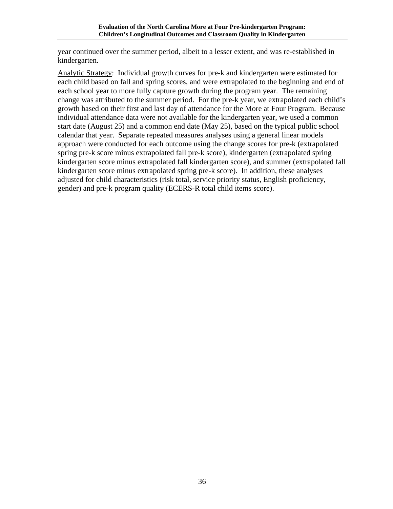year continued over the summer period, albeit to a lesser extent, and was re-established in kindergarten.

Analytic Strategy: Individual growth curves for pre-k and kindergarten were estimated for each child based on fall and spring scores, and were extrapolated to the beginning and end of each school year to more fully capture growth during the program year. The remaining change was attributed to the summer period. For the pre-k year, we extrapolated each child's growth based on their first and last day of attendance for the More at Four Program. Because individual attendance data were not available for the kindergarten year, we used a common start date (August 25) and a common end date (May 25), based on the typical public school calendar that year. Separate repeated measures analyses using a general linear models approach were conducted for each outcome using the change scores for pre-k (extrapolated spring pre-k score minus extrapolated fall pre-k score), kindergarten (extrapolated spring kindergarten score minus extrapolated fall kindergarten score), and summer (extrapolated fall kindergarten score minus extrapolated spring pre-k score). In addition, these analyses adjusted for child characteristics (risk total, service priority status, English proficiency, gender) and pre-k program quality (ECERS-R total child items score).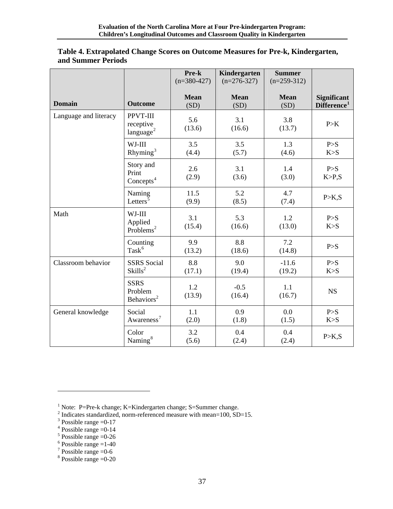|                       |                                                  | Pre-k<br>$(n=380-427)$ | Kindergarten<br>$(n=276-327)$ | <b>Summer</b><br>$(n=259-312)$ |                                               |
|-----------------------|--------------------------------------------------|------------------------|-------------------------------|--------------------------------|-----------------------------------------------|
| <b>Domain</b>         | <b>Outcome</b>                                   | <b>Mean</b><br>(SD)    | <b>Mean</b><br>(SD)           | <b>Mean</b><br>(SD)            | <b>Significant</b><br>Difference <sup>1</sup> |
| Language and literacy | PPVT-III<br>receptive<br>language <sup>2</sup>   | 5.6<br>(13.6)          | 3.1<br>(16.6)                 | 3.8<br>(13.7)                  | P>K                                           |
|                       | WJ-III<br>Rhyming <sup>3</sup>                   | 3.5<br>(4.4)           | 3.5<br>(5.7)                  | 1.3<br>(4.6)                   | P > S<br>K > S                                |
|                       | Story and<br>Print<br>Concepts <sup>4</sup>      | 2.6<br>(2.9)           | 3.1<br>(3.6)                  | 1.4<br>(3.0)                   | P > S<br>K > P,S                              |
|                       | Naming<br>Letters <sup>5</sup>                   | 11.5<br>(9.9)          | 5.2<br>(8.5)                  | 4.7<br>(7.4)                   | P > K, S                                      |
| Math                  | WJ-III<br>Applied<br>Problems <sup>2</sup>       | 3.1<br>(15.4)          | 5.3<br>(16.6)                 | 1.2<br>(13.0)                  | P > S<br>K > S                                |
|                       | Counting<br>$\mathrm{Task}^6$                    | 9.9<br>(13.2)          | 8.8<br>(18.6)                 | 7.2<br>(14.8)                  | P > S                                         |
| Classroom behavior    | <b>SSRS</b> Social<br>Skills <sup>2</sup>        | 8.8<br>(17.1)          | 9.0<br>(19.4)                 | $-11.6$<br>(19.2)              | P > S<br>K > S                                |
|                       | <b>SSRS</b><br>Problem<br>Behaviors <sup>2</sup> | 1.2<br>(13.9)          | $-0.5$<br>(16.4)              | 1.1<br>(16.7)                  | <b>NS</b>                                     |
| General knowledge     | Social<br>Awareness <sup>7</sup>                 | 1.1<br>(2.0)           | 0.9<br>(1.8)                  | 0.0<br>(1.5)                   | P > S<br>K > S                                |
|                       | Color<br>Naming <sup>8</sup>                     | 3.2<br>(5.6)           | 0.4<br>(2.4)                  | 0.4<br>(2.4)                   | P > K, S                                      |

#### <span id="page-37-0"></span>**Table 4. Extrapolated Change Scores on Outcome Measures for Pre-k, Kindergarten, and Summer Periods**

<span id="page-37-2"></span><span id="page-37-1"></span>

 $\overline{a}$ 

<span id="page-37-7"></span> $7$  Possible range = 0-6

<sup>&</sup>lt;sup>1</sup> Note: P=Pre-k change; K=Kindergarten change; S=Summer change.<br>
<sup>2</sup> Indicates standardized, norm-referenced measure with mean=100, SD=15.<br>
<sup>3</sup> Bossible range =0.17

<span id="page-37-4"></span><span id="page-37-3"></span> $3$  Possible range = 0-17

 $4$  Possible range = 0-14

<span id="page-37-5"></span> $5$  Possible range = 0-26

<span id="page-37-6"></span> $6$  Possible range = 1-40

<span id="page-37-8"></span> $8$  Possible range = 0-20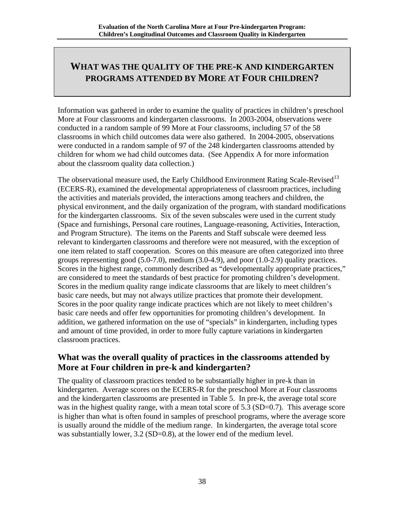## <span id="page-38-0"></span>**WHAT WAS THE QUALITY OF THE PRE-K AND KINDERGARTEN PROGRAMS ATTENDED BY MORE AT FOUR CHILDREN?**

Information was gathered in order to examine the quality of practices in children's preschool More at Four classrooms and kindergarten classrooms. In 2003-2004, observations were conducted in a random sample of 99 More at Four classrooms, including 57 of the 58 classrooms in which child outcomes data were also gathered. In 2004-2005, observations were conducted in a random sample of 97 of the 248 kindergarten classrooms attended by children for whom we had child outcomes data. (See Appendix A for more information about the classroom quality data collection.)

The observational measure used, the Early Childhood Environment Rating Scale-Revised<sup>[13](#page-62-1)</sup> (ECERS-R), examined the developmental appropriateness of classroom practices, including the activities and materials provided, the interactions among teachers and children, the physical environment, and the daily organization of the program, with standard modifications for the kindergarten classrooms. Six of the seven subscales were used in the current study (Space and furnishings, Personal care routines, Language-reasoning, Activities, Interaction, and Program Structure). The items on the Parents and Staff subscale were deemed less relevant to kindergarten classrooms and therefore were not measured, with the exception of one item related to staff cooperation. Scores on this measure are often categorized into three groups representing good (5.0-7.0), medium (3.0-4.9), and poor (1.0-2.9) quality practices. Scores in the highest range, commonly described as "developmentally appropriate practices," are considered to meet the standards of best practice for promoting children's development. Scores in the medium quality range indicate classrooms that are likely to meet children's basic care needs, but may not always utilize practices that promote their development. Scores in the poor quality range indicate practices which are not likely to meet children's basic care needs and offer few opportunities for promoting children's development. In addition, we gathered information on the use of "specials" in kindergarten, including types and amount of time provided, in order to more fully capture variations in kindergarten classroom practices.

## **What was the overall quality of practices in the classrooms attended by More at Four children in pre-k and kindergarten?**

The quality of classroom practices tended to be substantially higher in pre-k than in kindergarten. Average scores on the ECERS-R for the preschool More at Four classrooms and the kindergarten classrooms are presented in Table 5. In pre-k, the average total score was in the highest quality range, with a mean total score of 5.3 (SD=0.7). This average score is higher than what is often found in samples of preschool programs, where the average score is usually around the middle of the medium range. In kindergarten, the average total score was substantially lower, 3.2 (SD=0.8), at the lower end of the medium level.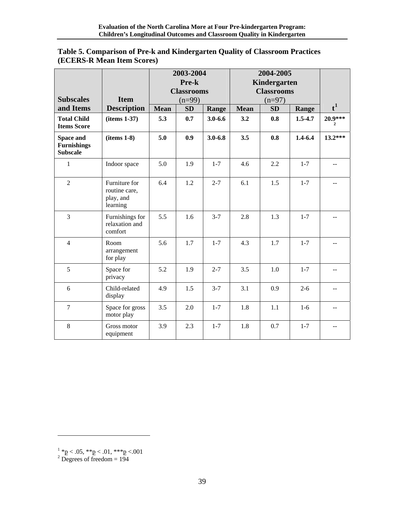| <b>Subscales</b>                                   | <b>Item</b>                                             | 2003-2004<br>Pre-k<br><b>Classrooms</b> |                       | 2004-2005<br>Kindergarten<br><b>Classrooms</b><br>$(n=97)$ |             |           |             |                           |
|----------------------------------------------------|---------------------------------------------------------|-----------------------------------------|-----------------------|------------------------------------------------------------|-------------|-----------|-------------|---------------------------|
| and Items                                          | <b>Description</b>                                      | <b>Mean</b>                             | $(n=99)$<br><b>SD</b> | Range                                                      | <b>Mean</b> | <b>SD</b> | Range       | $t^1$                     |
| <b>Total Child</b><br><b>Items Score</b>           | (items 1-37)                                            | 5.3                                     | 0.7                   | $3.0 - 6.6$                                                | 3.2         | 0.8       | $1.5 - 4.7$ | 20.9***<br>$\overline{2}$ |
| Space and<br><b>Furnishings</b><br><b>Subscale</b> | $(items 1-8)$                                           | 5.0                                     | 0.9                   | $3.0 - 6.8$                                                | 3.5         | 0.8       | $1.4 - 6.4$ | $13.2***$                 |
| 1                                                  | Indoor space                                            | 5.0                                     | 1.9                   | $1 - 7$                                                    | 4.6         | 2.2       | $1 - 7$     |                           |
| $\overline{2}$                                     | Furniture for<br>routine care,<br>play, and<br>learning | 6.4                                     | 1.2                   | $2 - 7$                                                    | 6.1         | 1.5       | $1 - 7$     |                           |
| 3                                                  | Furnishings for<br>relaxation and<br>comfort            | 5.5                                     | 1.6                   | $3 - 7$                                                    | 2.8         | 1.3       | $1 - 7$     |                           |
| $\overline{4}$                                     | Room<br>arrangement<br>for play                         | 5.6                                     | 1.7                   | $1 - 7$                                                    | 4.3         | 1.7       | $1 - 7$     |                           |
| 5                                                  | Space for<br>privacy                                    | 5.2                                     | 1.9                   | $2 - 7$                                                    | 3.5         | 1.0       | $1 - 7$     |                           |
| 6                                                  | Child-related<br>display                                | 4.9                                     | 1.5                   | $3 - 7$                                                    | 3.1         | 0.9       | $2 - 6$     |                           |
| $\tau$                                             | Space for gross<br>motor play                           | 3.5                                     | 2.0                   | $1 - 7$                                                    | 1.8         | 1.1       | $1-6$       | $\overline{a}$            |
| $8\,$                                              | Gross motor<br>equipment                                | 3.9                                     | 2.3                   | $1 - 7$                                                    | 1.8         | 0.7       | $1 - 7$     |                           |

#### <span id="page-39-0"></span>**Table 5. Comparison of Pre-k and Kindergarten Quality of Classroom Practices (ECERS-R Mean Item Scores)**

<span id="page-39-2"></span><span id="page-39-1"></span> $\frac{1}{2}$  \* p < .05, \* \* p < .01, \* \* \* p < .001<br>  $\frac{2}{2}$  Degrees of freedom = 194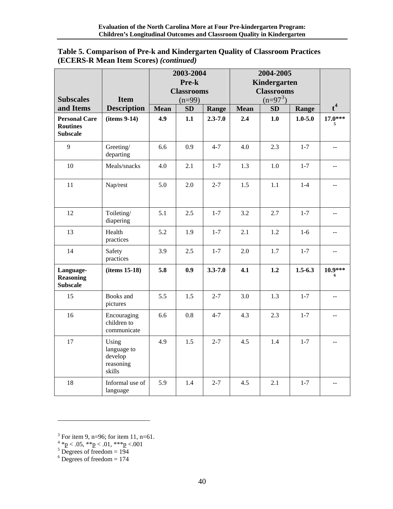| Table 5. Comparison of Pre-k and Kindergarten Quality of Classroom Practices |
|------------------------------------------------------------------------------|
| (ECERS-R Mean Item Scores) ( <i>continued</i> )                              |

|                                                            |                                                        | 2003-2004   |                   | 2004-2005   |                   |            |             |                          |
|------------------------------------------------------------|--------------------------------------------------------|-------------|-------------------|-------------|-------------------|------------|-------------|--------------------------|
|                                                            |                                                        |             | Pre-k             |             | Kindergarten      |            |             |                          |
|                                                            |                                                        |             | <b>Classrooms</b> |             | <b>Classrooms</b> |            |             |                          |
| <b>Subscales</b>                                           | <b>Item</b>                                            |             | $(n=99)$          |             |                   | $(n=97^3)$ |             |                          |
| and Items                                                  | <b>Description</b>                                     | <b>Mean</b> | SD                | Range       | <b>Mean</b>       | SD         | Range       | $t^4$                    |
| <b>Personal Care</b><br><b>Routines</b><br><b>Subscale</b> | $(items 9-14)$                                         | 4.9         | 1.1               | $2.3 - 7.0$ | 2.4               | 1.0        | $1.0 - 5.0$ | $17.0***$<br>5           |
| 9                                                          | Greeting/<br>departing                                 | 6.6         | 0.9               | $4 - 7$     | 4.0               | 2.3        | $1 - 7$     | $-$                      |
| 10                                                         | Meals/snacks                                           | 4.0         | 2.1               | $1 - 7$     | 1.3               | 1.0        | $1 - 7$     | $\overline{\phantom{a}}$ |
| 11                                                         | Nap/rest                                               | 5.0         | 2.0               | $2 - 7$     | 1.5               | 1.1        | $1 - 4$     | $\sim$                   |
| 12                                                         | Toileting/<br>diapering                                | 5.1         | 2.5               | $1 - 7$     | 3.2               | 2.7        | $1 - 7$     | $\overline{\phantom{a}}$ |
| 13                                                         | Health<br>practices                                    | 5.2         | 1.9               | $1 - 7$     | 2.1               | 1.2        | $1-6$       | $-$                      |
| 14                                                         | Safety<br>practices                                    | 3.9         | 2.5               | $1-7$       | 2.0               | 1.7        | $1 - 7$     | $\overline{a}$           |
| Language-<br><b>Reasoning</b><br><b>Subscale</b>           | (items 15-18)                                          | 5.8         | 0.9               | $3.3 - 7.0$ | 4.1               | 1.2        | $1.5 - 6.3$ | $10.9***$<br>6           |
| 15                                                         | Books and<br>pictures                                  | 5.5         | 1.5               | $2 - 7$     | 3.0               | 1.3        | $1-7$       | --                       |
| 16                                                         | Encouraging<br>children to<br>communicate              | 6.6         | $0.8\,$           | $4 - 7$     | 4.3               | 2.3        | $1 - 7$     |                          |
| 17                                                         | Using<br>language to<br>develop<br>reasoning<br>skills | 4.9         | 1.5               | $2 - 7$     | 4.5               | 1.4        | $1 - 7$     | $\overline{a}$           |
| 18                                                         | Informal use of<br>language                            | 5.9         | 1.4               | $2 - 7$     | 4.5               | 2.1        | $1 - 7$     | $\overline{\phantom{a}}$ |

<span id="page-40-3"></span><span id="page-40-2"></span>

<span id="page-40-0"></span><sup>&</sup>lt;sup>3</sup> For item 9, n=96; for item 11, n=61.<br>
<sup>4</sup> \*p < .05, \*\*p < .01, \*\*\*p < .001<br>
<sup>5</sup> Degrees of freedom = 194<br>
<sup>6</sup> Degrees of freedom = 174

<span id="page-40-1"></span>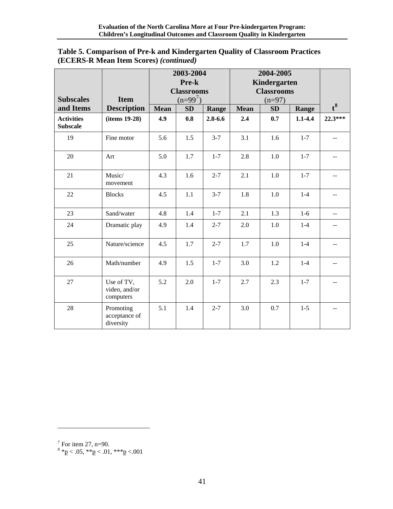| Table 5. Comparison of Pre-k and Kindergarten Quality of Classroom Practices |
|------------------------------------------------------------------------------|
| (ECERS-R Mean Item Scores) ( <i>continued</i> )                              |

| <b>Subscales</b>                     | <b>Item</b>                              | 2003-2004<br>Pre-k<br><b>Classrooms</b><br>$(n=99^{7})$ |     | 2004-2005<br>Kindergarten<br><b>Classrooms</b><br>$(n=97)$ |             |     |             |                |
|--------------------------------------|------------------------------------------|---------------------------------------------------------|-----|------------------------------------------------------------|-------------|-----|-------------|----------------|
| and Items                            | <b>Description</b>                       | <b>Mean</b>                                             | SD  | Range                                                      | <b>Mean</b> | SD  | Range       | $t^8$          |
| <b>Activities</b><br><b>Subscale</b> | (items 19-28)                            | 4.9                                                     | 0.8 | $2.8 - 6.6$                                                | 2.4         | 0.7 | $1.1 - 4.4$ | 22.3***        |
| 19                                   | Fine motor                               | 5.6                                                     | 1.5 | $3 - 7$                                                    | 3.1         | 1.6 | $1 - 7$     |                |
| 20                                   | Art                                      | 5.0                                                     | 1.7 | $1 - 7$                                                    | 2.8         | 1.0 | $1 - 7$     |                |
| 21                                   | Music/<br>movement                       | 4.3                                                     | 1.6 | $2 - 7$                                                    | 2.1         | 1.0 | $1 - 7$     |                |
| 22                                   | <b>Blocks</b>                            | 4.5                                                     | 1.1 | $3 - 7$                                                    | 1.8         | 1.0 | $1-4$       |                |
| 23                                   | Sand/water                               | 4.8                                                     | 1.4 | $1 - 7$                                                    | 2.1         | 1.3 | $1-6$       |                |
| 24                                   | Dramatic play                            | 4.9                                                     | 1.4 | $2 - 7$                                                    | 2.0         | 1.0 | $1 - 4$     | --             |
| 25                                   | Nature/science                           | 4.5                                                     | 1.7 | $2 - 7$                                                    | 1.7         | 1.0 | $1-4$       | $\overline{a}$ |
| 26                                   | Math/number                              | 4.9                                                     | 1.5 | $1 - 7$                                                    | 3.0         | 1.2 | $1-4$       |                |
| 27                                   | Use of TV,<br>video, and/or<br>computers | 5.2                                                     | 2.0 | $1-7$                                                      | 2.7         | 2.3 | $1 - 7$     |                |
| 28                                   | Promoting<br>acceptance of<br>diversity  | 5.1                                                     | 1.4 | $2 - 7$                                                    | 3.0         | 0.7 | $1 - 5$     |                |

<span id="page-41-1"></span><span id="page-41-0"></span>

<sup>&</sup>lt;sup>7</sup> For item 27, n=90.<br><sup>8</sup> \*<u>p</u> < .05, \*\*p < .01, \*\*\*p <.001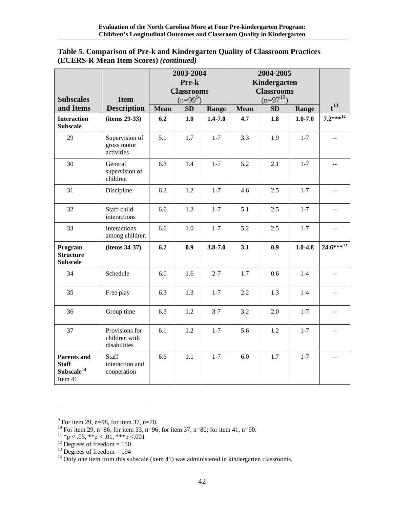| Table 5. Comparison of Pre-k and Kindergarten Quality of Classroom Practices |
|------------------------------------------------------------------------------|
| (ECERS-R Mean Item Scores) ( <i>continued</i> )                              |

|                                                                         |                                                 | 2003-2004   |                   | 2004-2005    |             |                   |             |                           |
|-------------------------------------------------------------------------|-------------------------------------------------|-------------|-------------------|--------------|-------------|-------------------|-------------|---------------------------|
|                                                                         |                                                 | Pre-k       |                   | Kindergarten |             |                   |             |                           |
|                                                                         |                                                 |             | <b>Classrooms</b> |              |             | <b>Classrooms</b> |             |                           |
| <b>Subscales</b>                                                        | <b>Item</b>                                     |             | $(n=99^9)$        |              |             | $(n=97^{10})$     |             | $t^{11}$                  |
| and Items                                                               | <b>Description</b>                              | <b>Mean</b> | SD                | Range        | <b>Mean</b> | SD                | Range       |                           |
| <b>Interaction</b><br><b>Subscale</b>                                   | (items 29-33)                                   | 6.2         | 1.0               | $1.4 - 7.0$  | 4.7         | 1.8               | $1.0 - 7.0$ | $7.2***^{12}$             |
| 29                                                                      | Supervision of<br>gross motor<br>activities     | 5.1         | 1.7               | $1-7$        | 3.3         | 1.9               | $1 - 7$     | $-$                       |
| 30                                                                      | General<br>supervision of<br>children           | 6.3         | 1.4               | $1 - 7$      | 5.2         | 2.1               | $1-7$       | $\mathbf{u} = \mathbf{v}$ |
| 31                                                                      | Discipline                                      | 6.2         | 1.2               | $1 - 7$      | 4.6         | 2.5               | $1 - 7$     |                           |
| 32                                                                      | Staff-child<br>interactions                     | 6.6         | 1.2               | $1-7$        | 5.1         | 2.5               | $1 - 7$     |                           |
| 33                                                                      | Interactions<br>among children                  | 6.6         | 1.0               | $1-7$        | 5.2         | 2.5               | $1 - 7$     |                           |
| Program<br><b>Structure</b><br><b>Subscale</b>                          | (items 34-37)                                   | 6.2         | 0.9               | $3.8 - 7.0$  | 3.1         | 0.9               | $1.0 - 4.8$ | $24.6***^{13}$            |
| 34                                                                      | Schedule                                        | 6.0         | 1.6               | $2 - 7$      | 1.7         | 0.6               | $1-4$       | $\mathbb{H}^{\mathbb{Z}}$ |
| 35                                                                      | Free play                                       | 6.3         | 1.3               | $1-7$        | 2.2         | 1.3               | $1-4$       |                           |
| 36                                                                      | Group time                                      | 6.3         | 1.2               | $3 - 7$      | 3.2         | 2.0               | $1 - 7$     | $\overline{a}$            |
| 37                                                                      | Provisions for<br>children with<br>disabilities | 6.1         | 1.2               | $1 - 7$      | 5.6         | 1.2               | $1 - 7$     |                           |
| <b>Parents and</b><br><b>Staff</b><br>Subscale <sup>14</sup><br>Item 41 | Staff<br>interaction and<br>cooperation         | 6.6         | 1.1               | $1 - 7$      | 6.0         | 1.7               | $1 - 7$     |                           |

<span id="page-42-0"></span> $9^9$  For item 29, n=98, for item 37, n=70.

<span id="page-42-1"></span><sup>&</sup>lt;sup>10</sup> For item 29, n=86; for item 33, n=96; for item 37, n=80; for item 41, n=90.

<span id="page-42-2"></span><sup>&</sup>lt;sup>11</sup> \*p < .05, \*\*p < .01, \*\*\*p < .001<br><sup>12</sup> Degrees of freedom = 150

<span id="page-42-3"></span>

<span id="page-42-5"></span><span id="page-42-4"></span> $13$  Degrees of freedom = 194

 $14$  Only one item from this subscale (item 41) was administered in kindergarten classrooms.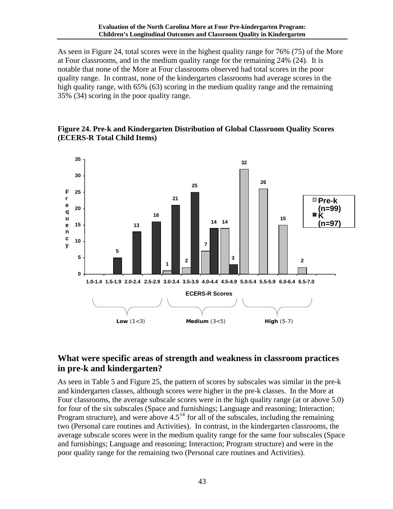<span id="page-43-0"></span>As seen in Figure 24, total scores were in the highest quality range for 76% (75) of the More at Four classrooms, and in the medium quality range for the remaining 24% (24). It is notable that none of the More at Four classrooms observed had total scores in the poor quality range. In contrast, none of the kindergarten classrooms had average scores in the high quality range, with 65% (63) scoring in the medium quality range and the remaining 35% (34) scoring in the poor quality range.

#### **Figure 24. Pre-k and Kindergarten Distribution of Global Classroom Quality Scores (ECERS-R Total Child Items)**



## **What were specific areas of strength and weakness in classroom practices in pre-k and kindergarten?**

As seen in Table 5 and Figure 25, the pattern of scores by subscales was similar in the pre-k and kindergarten classes, although scores were higher in the pre-k classes. In the More at Four classrooms, the average subscale scores were in the high quality range (at or above 5.0) for four of the six subscales (Space and furnishings; Language and reasoning; Interaction; Program structure), and were above  $4.5<sup>14</sup>$  $4.5<sup>14</sup>$  $4.5<sup>14</sup>$  for all of the subscales, including the remaining two (Personal care routines and Activities). In contrast, in the kindergarten classrooms, the average subscale scores were in the medium quality range for the same four subscales (Space and furnishings; Language and reasoning; Interaction; Program structure) and were in the poor quality range for the remaining two (Personal care routines and Activities).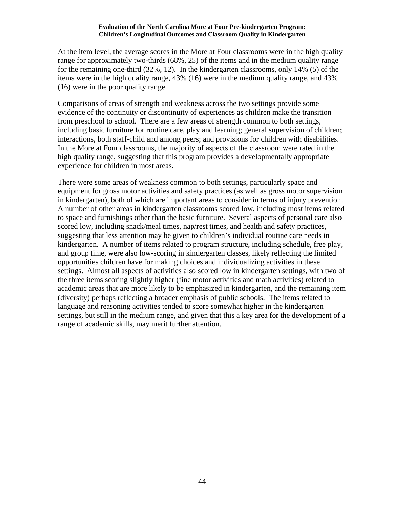At the item level, the average scores in the More at Four classrooms were in the high quality range for approximately two-thirds (68%, 25) of the items and in the medium quality range for the remaining one-third (32%, 12). In the kindergarten classrooms, only 14% (5) of the items were in the high quality range, 43% (16) were in the medium quality range, and 43% (16) were in the poor quality range.

Comparisons of areas of strength and weakness across the two settings provide some evidence of the continuity or discontinuity of experiences as children make the transition from preschool to school. There are a few areas of strength common to both settings, including basic furniture for routine care, play and learning; general supervision of children; interactions, both staff-child and among peers; and provisions for children with disabilities. In the More at Four classrooms, the majority of aspects of the classroom were rated in the high quality range, suggesting that this program provides a developmentally appropriate experience for children in most areas.

There were some areas of weakness common to both settings, particularly space and equipment for gross motor activities and safety practices (as well as gross motor supervision in kindergarten), both of which are important areas to consider in terms of injury prevention. A number of other areas in kindergarten classrooms scored low, including most items related to space and furnishings other than the basic furniture. Several aspects of personal care also scored low, including snack/meal times, nap/rest times, and health and safety practices, suggesting that less attention may be given to children's individual routine care needs in kindergarten. A number of items related to program structure, including schedule, free play, and group time, were also low-scoring in kindergarten classes, likely reflecting the limited opportunities children have for making choices and individualizing activities in these settings. Almost all aspects of activities also scored low in kindergarten settings, with two of the three items scoring slightly higher (fine motor activities and math activities) related to academic areas that are more likely to be emphasized in kindergarten, and the remaining item (diversity) perhaps reflecting a broader emphasis of public schools. The items related to language and reasoning activities tended to score somewhat higher in the kindergarten settings, but still in the medium range, and given that this a key area for the development of a range of academic skills, may merit further attention.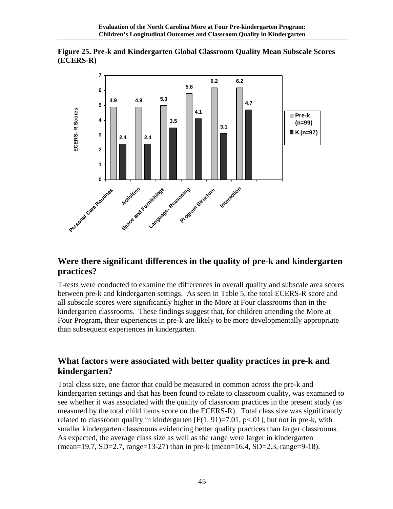<span id="page-45-0"></span>



### **Were there significant differences in the quality of pre-k and kindergarten practices?**

T-tests were conducted to examine the differences in overall quality and subscale area scores between pre-k and kindergarten settings. As seen in Table 5, the total ECERS-R score and all subscale scores were significantly higher in the More at Four classrooms than in the kindergarten classrooms. These findings suggest that, for children attending the More at Four Program, their experiences in pre-k are likely to be more developmentally appropriate than subsequent experiences in kindergarten.

### **What factors were associated with better quality practices in pre-k and kindergarten?**

Total class size, one factor that could be measured in common across the pre-k and kindergarten settings and that has been found to relate to classroom quality, was examined to see whether it was associated with the quality of classroom practices in the present study (as measured by the total child items score on the ECERS-R). Total class size was significantly related to classroom quality in kindergarten  $[F(1, 91)=7.01, p<0.01]$ , but not in pre-k, with smaller kindergarten classrooms evidencing better quality practices than larger classrooms. As expected, the average class size as well as the range were larger in kindergarten (mean=19.7, SD=2.7, range=13-27) than in pre-k (mean=16.4, SD=2.3, range=9-18).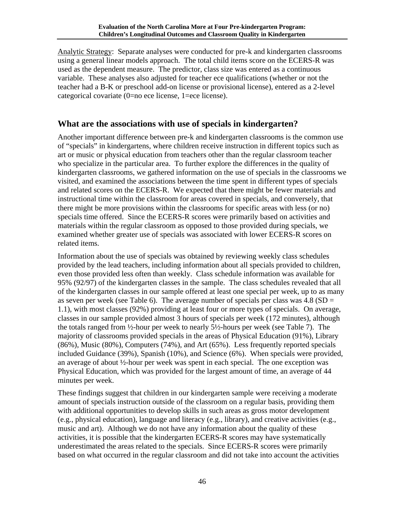<span id="page-46-0"></span>Analytic Strategy: Separate analyses were conducted for pre-k and kindergarten classrooms using a general linear models approach. The total child items score on the ECERS-R was used as the dependent measure. The predictor, class size was entered as a continuous variable. These analyses also adjusted for teacher ece qualifications (whether or not the teacher had a B-K or preschool add-on license or provisional license), entered as a 2-level categorical covariate (0=no ece license, 1=ece license).

### **What are the associations with use of specials in kindergarten?**

Another important difference between pre-k and kindergarten classrooms is the common use of "specials" in kindergartens, where children receive instruction in different topics such as art or music or physical education from teachers other than the regular classroom teacher who specialize in the particular area. To further explore the differences in the quality of kindergarten classrooms, we gathered information on the use of specials in the classrooms we visited, and examined the associations between the time spent in different types of specials and related scores on the ECERS-R. We expected that there might be fewer materials and instructional time within the classroom for areas covered in specials, and conversely, that there might be more provisions within the classrooms for specific areas with less (or no) specials time offered. Since the ECERS-R scores were primarily based on activities and materials within the regular classroom as opposed to those provided during specials, we examined whether greater use of specials was associated with lower ECERS-R scores on related items.

Information about the use of specials was obtained by reviewing weekly class schedules provided by the lead teachers, including information about all specials provided to children, even those provided less often than weekly. Class schedule information was available for 95% (92/97) of the kindergarten classes in the sample. The class schedules revealed that all of the kindergarten classes in our sample offered at least one special per week, up to as many as seven per week (see Table 6). The average number of specials per class was  $4.8$  (SD = 1.1), with most classes (92%) providing at least four or more types of specials. On average, classes in our sample provided almost 3 hours of specials per week (172 minutes), although the totals ranged from ½-hour per week to nearly 5½-hours per week (see Table 7). The majority of classrooms provided specials in the areas of Physical Education (91%), Library (86%), Music (80%), Computers (74%), and Art (65%). Less frequently reported specials included Guidance (39%), Spanish (10%), and Science (6%). When specials were provided, an average of about ½-hour per week was spent in each special. The one exception was Physical Education, which was provided for the largest amount of time, an average of 44 minutes per week.

These findings suggest that children in our kindergarten sample were receiving a moderate amount of specials instruction outside of the classroom on a regular basis, providing them with additional opportunities to develop skills in such areas as gross motor development (e.g., physical education), language and literacy (e.g., library), and creative activities (e.g., music and art). Although we do not have any information about the quality of these activities, it is possible that the kindergarten ECERS-R scores may have systematically underestimated the areas related to the specials. Since ECERS-R scores were primarily based on what occurred in the regular classroom and did not take into account the activities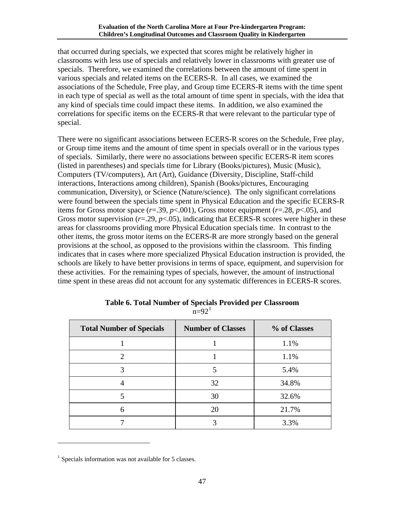<span id="page-47-0"></span>that occurred during specials, we expected that scores might be relatively higher in classrooms with less use of specials and relatively lower in classrooms with greater use of specials. Therefore, we examined the correlations between the amount of time spent in various specials and related items on the ECERS-R. In all cases, we examined the associations of the Schedule, Free play, and Group time ECERS-R items with the time spent in each type of special as well as the total amount of time spent in specials, with the idea that any kind of specials time could impact these items. In addition, we also examined the correlations for specific items on the ECERS-R that were relevant to the particular type of special.

There were no significant associations between ECERS-R scores on the Schedule, Free play, or Group time items and the amount of time spent in specials overall or in the various types of specials. Similarly, there were no associations between specific ECERS-R item scores (listed in parentheses) and specials time for Library (Books/pictures), Music (Music), Computers (TV/computers), Art (Art), Guidance (Diversity, Discipline, Staff-child interactions, Interactions among children), Spanish (Books/pictures, Encouraging communication, Diversity), or Science (Nature/science). The only significant correlations were found between the specials time spent in Physical Education and the specific ECERS-R items for Gross motor space  $(r=.39, p<.001)$ , Gross motor equipment  $(r=.28, p<.05)$ , and Gross motor supervision (*r*=.29, *p*<.05), indicating that ECERS-R scores were higher in these areas for classrooms providing more Physical Education specials time. In contrast to the other items, the gross motor items on the ECERS-R are more strongly based on the general provisions at the school, as opposed to the provisions within the classroom. This finding indicates that in cases where more specialized Physical Education instruction is provided, the schools are likely to have better provisions in terms of space, equipment, and supervision for these activities. For the remaining types of specials, however, the amount of instructional time spent in these areas did not account for any systematic differences in ECERS-R scores.

| <b>Total Number of Specials</b> | <b>Number of Classes</b> | % of Classes |
|---------------------------------|--------------------------|--------------|
|                                 |                          | 1.1%         |
|                                 |                          | 1.1%         |
|                                 |                          | 5.4%         |
|                                 | 32                       | 34.8%        |
|                                 | 30                       | 32.6%        |
| 6                               | 20                       | 21.7%        |
|                                 |                          | 3.3%         |

**Table 6. Total Number of Specials Provided per Classroom**  $n=92<sup>1</sup>$  $n=92<sup>1</sup>$  $n=92<sup>1</sup>$ 

<span id="page-47-1"></span> $<sup>1</sup>$  Specials information was not available for 5 classes.</sup>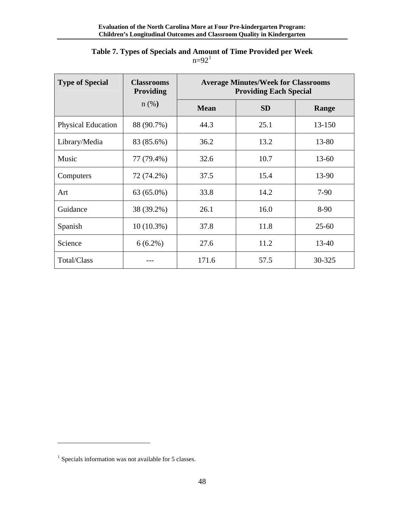#### **Table 7. Types of Specials and Amount of Time Provided per Week**  $n=92<sup>1</sup>$  $n=92<sup>1</sup>$  $n=92<sup>1</sup>$

<span id="page-48-0"></span>

| <b>Type of Special</b>    | <b>Classrooms</b><br><b>Providing</b> | <b>Average Minutes/Week for Classrooms</b><br><b>Providing Each Special</b> |           |           |  |  |
|---------------------------|---------------------------------------|-----------------------------------------------------------------------------|-----------|-----------|--|--|
|                           | $n(\%)$                               | <b>Mean</b>                                                                 | <b>SD</b> | Range     |  |  |
| <b>Physical Education</b> | 88 (90.7%)                            | 44.3                                                                        | 25.1      | 13-150    |  |  |
| Library/Media             | 83 (85.6%)                            | 36.2                                                                        | 13.2      | 13-80     |  |  |
| Music                     | 77 (79.4%)                            | 32.6                                                                        | 10.7      | $13 - 60$ |  |  |
| Computers                 | 72 (74.2%)                            | 37.5                                                                        | 15.4      | 13-90     |  |  |
| Art                       | 63 (65.0%)                            | 33.8                                                                        | 14.2      | $7-90$    |  |  |
| Guidance                  | 38 (39.2%)                            | 26.1                                                                        | 16.0      | 8-90      |  |  |
| Spanish                   | $10(10.3\%)$                          | 37.8                                                                        | 11.8      | $25 - 60$ |  |  |
| Science                   | $6(6.2\%)$                            | 27.6                                                                        | 11.2      | 13-40     |  |  |
| Total/Class               |                                       | 171.6                                                                       | 57.5      | 30-325    |  |  |

<span id="page-48-1"></span> $<sup>1</sup>$  Specials information was not available for 5 classes.</sup>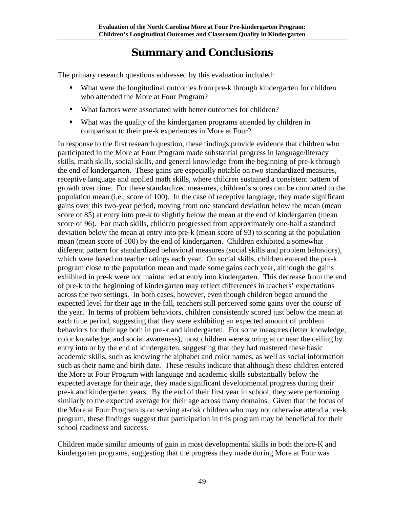## **Summary and Conclusions**

<span id="page-49-0"></span>The primary research questions addressed by this evaluation included:

- What were the longitudinal outcomes from pre-k through kindergarten for children who attended the More at Four Program?
- What factors were associated with better outcomes for children?
- What was the quality of the kindergarten programs attended by children in comparison to their pre-k experiences in More at Four?

In response to the first research question, these findings provide evidence that children who participated in the More at Four Program made substantial progress in language/literacy skills, math skills, social skills, and general knowledge from the beginning of pre-k through the end of kindergarten. These gains are especially notable on two standardized measures, receptive language and applied math skills, where children sustained a consistent pattern of growth over time. For these standardized measures, children's scores can be compared to the population mean (i.e., score of 100). In the case of receptive language, they made significant gains over this two-year period, moving from one standard deviation below the mean (mean score of 85) at entry into pre-k to slightly below the mean at the end of kindergarten (mean score of 96). For math skills, children progressed from approximately one-half a standard deviation below the mean at entry into pre-k (mean score of 93) to scoring at the population mean (mean score of 100) by the end of kindergarten. Children exhibited a somewhat different pattern for standardized behavioral measures (social skills and problem behaviors), which were based on teacher ratings each year. On social skills, children entered the pre-k program close to the population mean and made some gains each year, although the gains exhibited in pre-k were not maintained at entry into kindergarten. This decrease from the end of pre-k to the beginning of kindergarten may reflect differences in teachers' expectations across the two settings. In both cases, however, even though children began around the expected level for their age in the fall, teachers still perceived some gains over the course of the year. In terms of problem behaviors, children consistently scored just below the mean at each time period, suggesting that they were exhibiting an expected amount of problem behaviors for their age both in pre-k and kindergarten. For some measures (letter knowledge, color knowledge, and social awareness), most children were scoring at or near the ceiling by entry into or by the end of kindergarten, suggesting that they had mastered these basic academic skills, such as knowing the alphabet and color names, as well as social information such as their name and birth date. These results indicate that although these children entered the More at Four Program with language and academic skills substantially below the expected average for their age, they made significant developmental progress during their pre-k and kindergarten years. By the end of their first year in school, they were performing similarly to the expected average for their age across many domains. Given that the focus of the More at Four Program is on serving at-risk children who may not otherwise attend a pre-k program, these findings suggest that participation in this program may be beneficial for their school readiness and success.

Children made similar amounts of gain in most developmental skills in both the pre-K and kindergarten programs, suggesting that the progress they made during More at Four was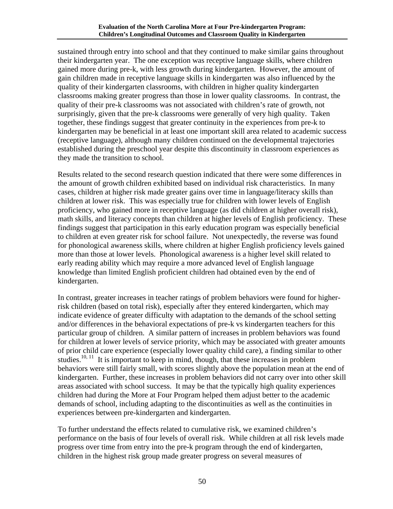sustained through entry into school and that they continued to make similar gains throughout their kindergarten year. The one exception was receptive language skills, where children gained more during pre-k, with less growth during kindergarten. However, the amount of gain children made in receptive language skills in kindergarten was also influenced by the quality of their kindergarten classrooms, with children in higher quality kindergarten classrooms making greater progress than those in lower quality classrooms. In contrast, the quality of their pre-k classrooms was not associated with children's rate of growth, not surprisingly, given that the pre-k classrooms were generally of very high quality. Taken together, these findings suggest that greater continuity in the experiences from pre-k to kindergarten may be beneficial in at least one important skill area related to academic success (receptive language), although many children continued on the developmental trajectories established during the preschool year despite this discontinuity in classroom experiences as they made the transition to school.

Results related to the second research question indicated that there were some differences in the amount of growth children exhibited based on individual risk characteristics. In many cases, children at higher risk made greater gains over time in language/literacy skills than children at lower risk. This was especially true for children with lower levels of English proficiency, who gained more in receptive language (as did children at higher overall risk), math skills, and literacy concepts than children at higher levels of English proficiency. These findings suggest that participation in this early education program was especially beneficial to children at even greater risk for school failure. Not unexpectedly, the reverse was found for phonological awareness skills, where children at higher English proficiency levels gained more than those at lower levels. Phonological awareness is a higher level skill related to early reading ability which may require a more advanced level of English language knowledge than limited English proficient children had obtained even by the end of kindergarten.

In contrast, greater increases in teacher ratings of problem behaviors were found for higherrisk children (based on total risk), especially after they entered kindergarten, which may indicate evidence of greater difficulty with adaptation to the demands of the school setting and/or differences in the behavioral expectations of pre-k vs kindergarten teachers for this particular group of children. A similar pattern of increases in problem behaviors was found for children at lower levels of service priority, which may be associated with greater amounts of prior child care experience (especially lower quality child care), a finding similar to other studies.<sup>10, 11</sup> It is important to keep in mind, though, that these increases in problem behaviors were still fairly small, with scores slightly above the population mean at the end of kindergarten. Further, these increases in problem behaviors did not carry over into other skill areas associated with school success. It may be that the typically high quality experiences children had during the More at Four Program helped them adjust better to the academic demands of school, including adapting to the discontinuities as well as the continuities in experiences between pre-kindergarten and kindergarten.

To further understand the effects related to cumulative risk, we examined children's performance on the basis of four levels of overall risk. While children at all risk levels made progress over time from entry into the pre-k program through the end of kindergarten, children in the highest risk group made greater progress on several measures of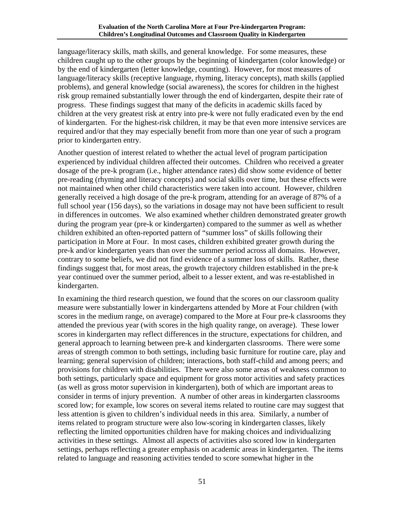language/literacy skills, math skills, and general knowledge. For some measures, these children caught up to the other groups by the beginning of kindergarten (color knowledge) or by the end of kindergarten (letter knowledge, counting). However, for most measures of language/literacy skills (receptive language, rhyming, literacy concepts), math skills (applied problems), and general knowledge (social awareness), the scores for children in the highest risk group remained substantially lower through the end of kindergarten, despite their rate of progress. These findings suggest that many of the deficits in academic skills faced by children at the very greatest risk at entry into pre-k were not fully eradicated even by the end of kindergarten. For the highest-risk children, it may be that even more intensive services are required and/or that they may especially benefit from more than one year of such a program prior to kindergarten entry.

Another question of interest related to whether the actual level of program participation experienced by individual children affected their outcomes. Children who received a greater dosage of the pre-k program (i.e., higher attendance rates) did show some evidence of better pre-reading (rhyming and literacy concepts) and social skills over time, but these effects were not maintained when other child characteristics were taken into account. However, children generally received a high dosage of the pre-k program, attending for an average of 87% of a full school year (156 days), so the variations in dosage may not have been sufficient to result in differences in outcomes. We also examined whether children demonstrated greater growth during the program year (pre-k or kindergarten) compared to the summer as well as whether children exhibited an often-reported pattern of "summer loss" of skills following their participation in More at Four. In most cases, children exhibited greater growth during the pre-k and/or kindergarten years than over the summer period across all domains. However, contrary to some beliefs, we did not find evidence of a summer loss of skills. Rather, these findings suggest that, for most areas, the growth trajectory children established in the pre-k year continued over the summer period, albeit to a lesser extent, and was re-established in kindergarten.

In examining the third research question, we found that the scores on our classroom quality measure were substantially lower in kindergartens attended by More at Four children (with scores in the medium range, on average) compared to the More at Four pre-k classrooms they attended the previous year (with scores in the high quality range, on average). These lower scores in kindergarten may reflect differences in the structure, expectations for children, and general approach to learning between pre-k and kindergarten classrooms. There were some areas of strength common to both settings, including basic furniture for routine care, play and learning; general supervision of children; interactions, both staff-child and among peers; and provisions for children with disabilities. There were also some areas of weakness common to both settings, particularly space and equipment for gross motor activities and safety practices (as well as gross motor supervision in kindergarten), both of which are important areas to consider in terms of injury prevention. A number of other areas in kindergarten classrooms scored low; for example, low scores on several items related to routine care may suggest that less attention is given to children's individual needs in this area. Similarly, a number of items related to program structure were also low-scoring in kindergarten classes, likely reflecting the limited opportunities children have for making choices and individualizing activities in these settings. Almost all aspects of activities also scored low in kindergarten settings, perhaps reflecting a greater emphasis on academic areas in kindergarten. The items related to language and reasoning activities tended to score somewhat higher in the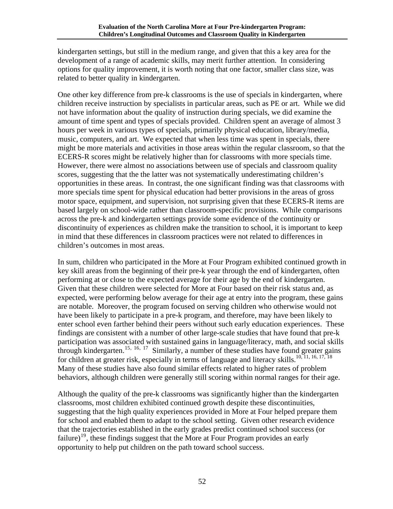kindergarten settings, but still in the medium range, and given that this a key area for the development of a range of academic skills, may merit further attention. In considering options for quality improvement, it is worth noting that one factor, smaller class size, was related to better quality in kindergarten.

One other key difference from pre-k classrooms is the use of specials in kindergarten, where children receive instruction by specialists in particular areas, such as PE or art. While we did not have information about the quality of instruction during specials, we did examine the amount of time spent and types of specials provided. Children spent an average of almost 3 hours per week in various types of specials, primarily physical education, library/media, music, computers, and art. We expected that when less time was spent in specials, there might be more materials and activities in those areas within the regular classroom, so that the ECERS-R scores might be relatively higher than for classrooms with more specials time. However, there were almost no associations between use of specials and classroom quality scores, suggesting that the the latter was not systematically underestimating children's opportunities in these areas. In contrast, the one significant finding was that classrooms with more specials time spent for physical education had better provisions in the areas of gross motor space, equipment, and supervision, not surprising given that these ECERS-R items are based largely on school-wide rather than classroom-specific provisions. While comparisons across the pre-k and kindergarten settings provide some evidence of the continuity or discontinuity of experiences as children make the transition to school, it is important to keep in mind that these differences in classroom practices were not related to differences in children's outcomes in most areas.

In sum, children who participated in the More at Four Program exhibited continued growth in key skill areas from the beginning of their pre-k year through the end of kindergarten, often performing at or close to the expected average for their age by the end of kindergarten. Given that these children were selected for More at Four based on their risk status and, as expected, were performing below average for their age at entry into the program, these gains are notable. Moreover, the program focused on serving children who otherwise would not have been likely to participate in a pre-k program, and therefore, may have been likely to enter school even farther behind their peers without such early education experiences. These findings are consistent with a number of other large-scale studies that have found that pre-k participation was associated with sustained gains in language/literacy, math, and social skills through kindergarten.<sup>[15](#page-62-1), [16](#page-62-1), [17](#page-62-1)</sup> Similarly, a number of these studies have found greater gains for children at greater risk, especially in terms of language and literacy skills.<sup>10, 11, 16, 17, [18](#page-62-1)</sup> Many of these studies have also found similar effects related to higher rates of problem behaviors, although children were generally still scoring within normal ranges for their age.

Although the quality of the pre-k classrooms was significantly higher than the kindergarten classrooms, most children exhibited continued growth despite these discontinuities, suggesting that the high quality experiences provided in More at Four helped prepare them for school and enabled them to adapt to the school setting. Given other research evidence that the trajectories established in the early grades predict continued school success (or failure)<sup>[19](#page-62-1)</sup>, these findings suggest that the More at Four Program provides an early opportunity to help put children on the path toward school success.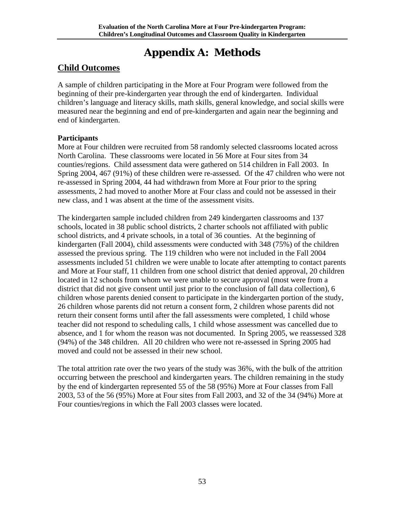# **Appendix A: Methods**

## <span id="page-53-0"></span>**Child Outcomes**

A sample of children participating in the More at Four Program were followed from the beginning of their pre-kindergarten year through the end of kindergarten. Individual children's language and literacy skills, math skills, general knowledge, and social skills were measured near the beginning and end of pre-kindergarten and again near the beginning and end of kindergarten.

#### **Participants**

More at Four children were recruited from 58 randomly selected classrooms located across North Carolina. These classrooms were located in 56 More at Four sites from 34 counties/regions. Child assessment data were gathered on 514 children in Fall 2003. In Spring 2004, 467 (91%) of these children were re-assessed. Of the 47 children who were not re-assessed in Spring 2004, 44 had withdrawn from More at Four prior to the spring assessments, 2 had moved to another More at Four class and could not be assessed in their new class, and 1 was absent at the time of the assessment visits.

The kindergarten sample included children from 249 kindergarten classrooms and 137 schools, located in 38 public school districts, 2 charter schools not affiliated with public school districts, and 4 private schools, in a total of 36 counties. At the beginning of kindergarten (Fall 2004), child assessments were conducted with 348 (75%) of the children assessed the previous spring. The 119 children who were not included in the Fall 2004 assessments included 51 children we were unable to locate after attempting to contact parents and More at Four staff, 11 children from one school district that denied approval, 20 children located in 12 schools from whom we were unable to secure approval (most were from a district that did not give consent until just prior to the conclusion of fall data collection), 6 children whose parents denied consent to participate in the kindergarten portion of the study, 26 children whose parents did not return a consent form, 2 children whose parents did not return their consent forms until after the fall assessments were completed, 1 child whose teacher did not respond to scheduling calls, 1 child whose assessment was cancelled due to absence, and 1 for whom the reason was not documented. In Spring 2005, we reassessed 328 (94%) of the 348 children. All 20 children who were not re-assessed in Spring 2005 had moved and could not be assessed in their new school.

The total attrition rate over the two years of the study was 36%, with the bulk of the attrition occurring between the preschool and kindergarten years. The children remaining in the study by the end of kindergarten represented 55 of the 58 (95%) More at Four classes from Fall 2003, 53 of the 56 (95%) More at Four sites from Fall 2003, and 32 of the 34 (94%) More at Four counties/regions in which the Fall 2003 classes were located.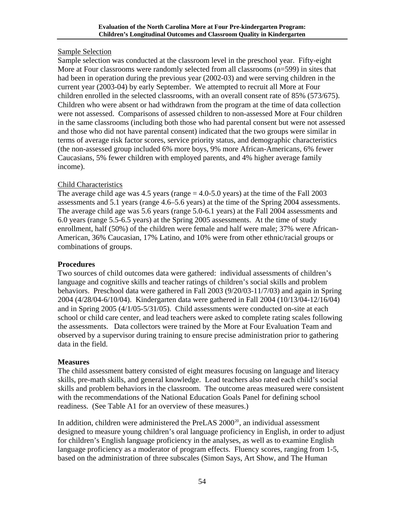#### Sample Selection

Sample selection was conducted at the classroom level in the preschool year. Fifty-eight More at Four classrooms were randomly selected from all classrooms (n=599) in sites that had been in operation during the previous year (2002-03) and were serving children in the current year (2003-04) by early September. We attempted to recruit all More at Four children enrolled in the selected classrooms, with an overall consent rate of 85% (573/675). Children who were absent or had withdrawn from the program at the time of data collection were not assessed. Comparisons of assessed children to non-assessed More at Four children in the same classrooms (including both those who had parental consent but were not assessed and those who did not have parental consent) indicated that the two groups were similar in terms of average risk factor scores, service priority status, and demographic characteristics (the non-assessed group included 6% more boys, 9% more African-Americans, 6% fewer Caucasians, 5% fewer children with employed parents, and 4% higher average family income).

#### Child Characteristics

The average child age was  $4.5$  years (range  $= 4.0 - 5.0$  years) at the time of the Fall 2003 assessments and 5.1 years (range 4.6–5.6 years) at the time of the Spring 2004 assessments. The average child age was 5.6 years (range 5.0-6.1 years) at the Fall 2004 assessments and 6.0 years (range 5.5-6.5 years) at the Spring 2005 assessments. At the time of study enrollment, half (50%) of the children were female and half were male; 37% were African-American, 36% Caucasian, 17% Latino, and 10% were from other ethnic/racial groups or combinations of groups.

#### **Procedures**

Two sources of child outcomes data were gathered: individual assessments of children's language and cognitive skills and teacher ratings of children's social skills and problem behaviors. Preschool data were gathered in Fall 2003 (9/20/03-11/7/03) and again in Spring 2004 (4/28/04-6/10/04). Kindergarten data were gathered in Fall 2004 (10/13/04-12/16/04) and in Spring 2005 (4/1/05-5/31/05). Child assessments were conducted on-site at each school or child care center, and lead teachers were asked to complete rating scales following the assessments. Data collectors were trained by the More at Four Evaluation Team and observed by a supervisor during training to ensure precise administration prior to gathering data in the field.

#### **Measures**

The child assessment battery consisted of eight measures focusing on language and literacy skills, pre-math skills, and general knowledge. Lead teachers also rated each child's social skills and problem behaviors in the classroom. The outcome areas measured were consistent with the recommendations of the National Education Goals Panel for defining school readiness. (See Table A1 for an overview of these measures.)

In addition, children were administered the PreLAS [20](#page-62-1)00<sup>20</sup>, an individual assessment designed to measure young children's oral language proficiency in English, in order to adjust for children's English language proficiency in the analyses, as well as to examine English language proficiency as a moderator of program effects. Fluency scores, ranging from 1-5, based on the administration of three subscales (Simon Says, Art Show, and The Human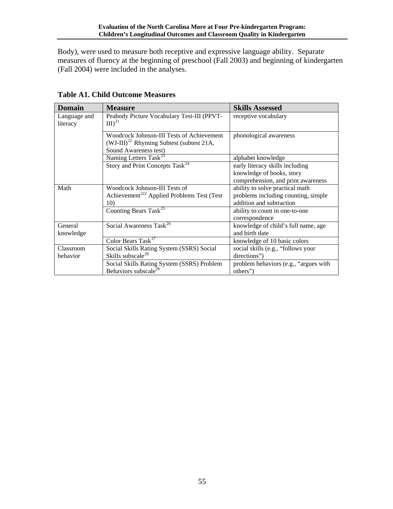<span id="page-55-0"></span>Body), were used to measure both receptive and expressive language ability. Separate measures of fluency at the beginning of preschool (Fall 2003) and beginning of kindergarten (Fall 2004) were included in the analyses.

<span id="page-55-1"></span>

| <b>Domain</b>            | <b>Measure</b>                                                                                                      | <b>Skills Assessed</b>                                                                             |
|--------------------------|---------------------------------------------------------------------------------------------------------------------|----------------------------------------------------------------------------------------------------|
| Language and<br>literacy | Peabody Picture Vocabulary Test-III (PPVT-<br>$\text{III}\right)^{21}$                                              | receptive vocabulary                                                                               |
|                          | Woodcock Johnson-III Tests of Achievement<br>$(WJ-III)^{22}$ Rhyming Subtest (subtest 21A,<br>Sound Awareness test) | phonological awareness                                                                             |
|                          | Naming Letters Task <sup>23</sup>                                                                                   | alphabet knowledge                                                                                 |
|                          | Story and Print Concepts Task <sup>24</sup>                                                                         | early literacy skills including<br>knowledge of books, story<br>comprehension, and print awareness |
| Math                     | Woodcock Johnson-III Tests of<br>Achievement <sup>222</sup> Applied Problems Test (Test<br>10)                      | ability to solve practical math<br>problems including counting, simple<br>addition and subtraction |
|                          | Counting Bears Task <sup>25</sup>                                                                                   | ability to count in one-to-one<br>correspondence                                                   |
| General<br>knowledge     | Social Awareness Task <sup>26</sup>                                                                                 | knowledge of child's full name, age<br>and birth date                                              |
|                          | Color Bears Task <sup>27</sup>                                                                                      | knowledge of 10 basic colors                                                                       |
| Classroom                | Social Skills Rating System (SSRS) Social                                                                           | social skills (e.g., "follows your                                                                 |
| behavior                 | Skills subscale <sup>28</sup>                                                                                       | directions")                                                                                       |
|                          | Social Skills Rating System (SSRS) Problem<br>Behaviors subscale <sup>28</sup>                                      | problem behaviors (e.g., "argues with<br>others")                                                  |

**Table A1. Child Outcome Measures**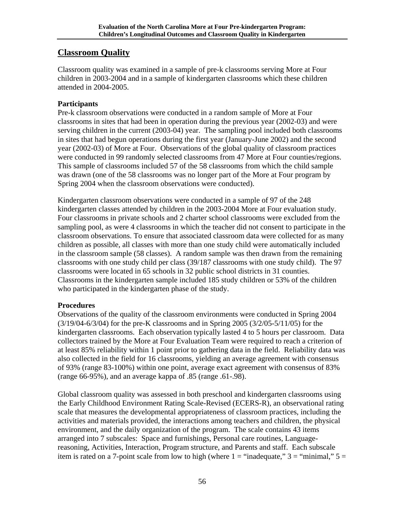## **Classroom Quality**

Classroom quality was examined in a sample of pre-k classrooms serving More at Four children in 2003-2004 and in a sample of kindergarten classrooms which these children attended in 2004-2005.

#### **Participants**

Pre-k classroom observations were conducted in a random sample of More at Four classrooms in sites that had been in operation during the previous year (2002-03) and were serving children in the current (2003-04) year. The sampling pool included both classrooms in sites that had begun operations during the first year (January-June 2002) and the second year (2002-03) of More at Four. Observations of the global quality of classroom practices were conducted in 99 randomly selected classrooms from 47 More at Four counties/regions. This sample of classrooms included 57 of the 58 classrooms from which the child sample was drawn (one of the 58 classrooms was no longer part of the More at Four program by Spring 2004 when the classroom observations were conducted).

Kindergarten classroom observations were conducted in a sample of 97 of the 248 kindergarten classes attended by children in the 2003-2004 More at Four evaluation study. Four classrooms in private schools and 2 charter school classrooms were excluded from the sampling pool, as were 4 classrooms in which the teacher did not consent to participate in the classroom observations. To ensure that associated classroom data were collected for as many children as possible, all classes with more than one study child were automatically included in the classroom sample (58 classes). A random sample was then drawn from the remaining classrooms with one study child per class (39/187 classrooms with one study child). The 97 classrooms were located in 65 schools in 32 public school districts in 31 counties. Classrooms in the kindergarten sample included 185 study children or 53% of the children who participated in the kindergarten phase of the study.

#### **Procedures**

Observations of the quality of the classroom environments were conducted in Spring 2004 (3/19/04-6/3/04) for the pre-K classrooms and in Spring 2005 (3/2/05-5/11/05) for the kindergarten classrooms. Each observation typically lasted 4 to 5 hours per classroom. Data collectors trained by the More at Four Evaluation Team were required to reach a criterion of at least 85% reliability within 1 point prior to gathering data in the field. Reliability data was also collected in the field for 16 classrooms, yielding an average agreement with consensus of 93% (range 83-100%) within one point, average exact agreement with consensus of 83% (range 66-95%), and an average kappa of .85 (range .61-.98).

Global classroom quality was assessed in both preschool and kindergarten classrooms using the Early Childhood Environment Rating Scale-Revised (ECERS-R), an observational rating scale that measures the developmental appropriateness of classroom practices, including the activities and materials provided, the interactions among teachers and children, the physical environment, and the daily organization of the program. The scale contains 43 items arranged into 7 subscales: Space and furnishings, Personal care routines, Languagereasoning, Activities, Interaction, Program structure, and Parents and staff. Each subscale item is rated on a 7-point scale from low to high (where  $1 =$  "inadequate,"  $3 =$  "minimal,"  $5 =$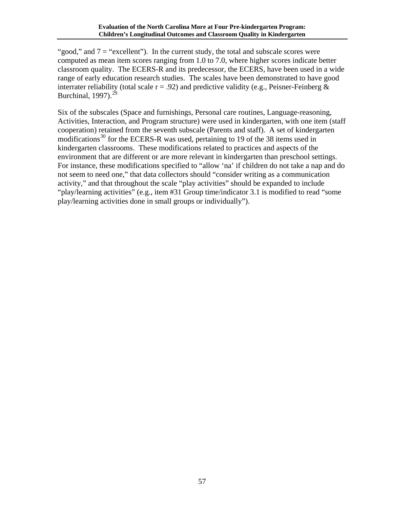"good," and  $7 =$  "excellent"). In the current study, the total and subscale scores were computed as mean item scores ranging from 1.0 to 7.0, where higher scores indicate better classroom quality. The ECERS-R and its predecessor, the ECERS, have been used in a wide range of early education research studies. The scales have been demonstrated to have good interrater reliability (total scale  $r = .92$ ) and predictive validity (e.g., Peisner-Feinberg  $\&$ Burchinal,  $1997$ ).<sup>[29](#page-62-1)</sup>

Six of the subscales (Space and furnishings, Personal care routines, Language-reasoning, Activities, Interaction, and Program structure) were used in kindergarten, with one item (staff cooperation) retained from the seventh subscale (Parents and staff). A set of kindergarten modifications<sup>[30](#page-62-1)</sup> for the ECERS-R was used, pertaining to 19 of the 38 items used in kindergarten classrooms. These modifications related to practices and aspects of the environment that are different or are more relevant in kindergarten than preschool settings. For instance, these modifications specified to "allow 'na' if children do not take a nap and do not seem to need one," that data collectors should "consider writing as a communication activity," and that throughout the scale "play activities" should be expanded to include "play/learning activities" (e.g., item #31 Group time/indicator 3.1 is modified to read "some play/learning activities done in small groups or individually").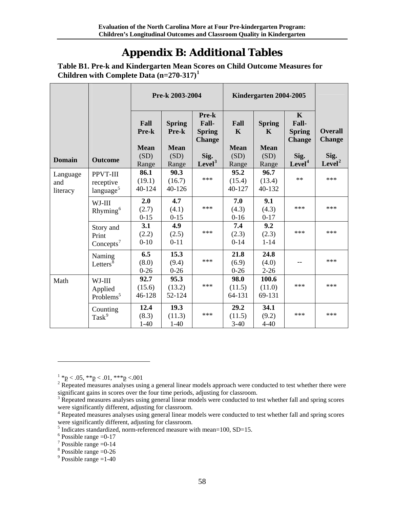# **Appendix B: Additional Tables**

<span id="page-58-0"></span>**Table B1. Pre-k and Kindergarten Mean Scores on Child Outcome Measures for Children with Complete Data (n=270-317)[1](#page-58-1)**

|                             |                                                | Pre-k 2003-2004              |                                       |                                                  | Kindergarten 2004-2005             |                                   |                                                        |                                 |
|-----------------------------|------------------------------------------------|------------------------------|---------------------------------------|--------------------------------------------------|------------------------------------|-----------------------------------|--------------------------------------------------------|---------------------------------|
|                             |                                                | Fall<br>Pre-k<br><b>Mean</b> | <b>Spring</b><br>Pre-k<br><b>Mean</b> | Pre-k<br>Fall-<br><b>Spring</b><br><b>Change</b> | Fall<br>$\mathbf K$<br><b>Mean</b> | <b>Spring</b><br>K<br><b>Mean</b> | $\mathbf K$<br>Fall-<br><b>Spring</b><br><b>Change</b> | <b>Overall</b><br><b>Change</b> |
| <b>Domain</b>               | <b>Outcome</b>                                 | (SD)                         | (SD)                                  | Sig.                                             | (SD)                               | (SD)                              | Sig.                                                   | Sig.                            |
|                             |                                                | Range                        | Range                                 | Level <sup>3</sup>                               | Range                              | Range                             | Level <sup>4</sup>                                     | Level <sup>2</sup>              |
| Language<br>and<br>literacy | PPVT-III<br>receptive<br>language <sup>5</sup> | 86.1<br>(19.1)<br>40-124     | 90.3<br>(16.7)<br>40-126              | ***                                              | 95.2<br>(15.4)<br>40-127           | 96.7<br>(13.4)<br>40-132          | $**$                                                   | ***                             |
|                             | WJ-III<br>Rhyming <sup>6</sup>                 | 2.0<br>(2.7)<br>$0 - 15$     | 4.7<br>(4.1)<br>$0 - 15$              | ***                                              | 7.0<br>(4.3)<br>$0 - 16$           | 9.1<br>(4.3)<br>$0 - 17$          | ***                                                    | ***                             |
|                             | Story and<br>Print<br>$Concepts^7$             | 3.1<br>(2.2)<br>$0 - 10$     | 4.9<br>(2.5)<br>$0 - 11$              | ***                                              | 7.4<br>(2.3)<br>$0 - 14$           | 9.2<br>(2.3)<br>$1 - 14$          | ***                                                    | ***                             |
|                             | Naming<br>Letters <sup>8</sup>                 | 6.5<br>(8.0)<br>$0 - 26$     | 15.3<br>(9.4)<br>$0 - 26$             | ***                                              | 21.8<br>(6.9)<br>$0 - 26$          | 24.8<br>(4.0)<br>$2 - 26$         |                                                        | ***                             |
| Math                        | WJ-III<br>Applied<br>Problems <sup>5</sup>     | 92.7<br>(15.6)<br>46-128     | 95.3<br>(13.2)<br>52-124              | ***                                              | 98.0<br>(11.5)<br>64-131           | 100.6<br>(11.0)<br>69-131         | ***                                                    | ***                             |
|                             | Counting<br>Task <sup>9</sup>                  | 12.4<br>(8.3)<br>$1-40$      | 19.3<br>(11.3)<br>$1-40$              | ***                                              | 29.2<br>(11.5)<br>$3-40$           | 34.1<br>(9.2)<br>$4 - 40$         | ***                                                    | ***                             |

 $^{1}$  \*p < .05, \*\*p < .01, \*\*\*p < .001

<span id="page-58-2"></span><span id="page-58-1"></span><sup>&</sup>lt;sup>2</sup> Repeated measures analyses using a general linear models approach were conducted to test whether there were significant gains in scores over the four time periods, adjusting for classroom.

<span id="page-58-3"></span><sup>&</sup>lt;sup>3</sup> Repeated measures analyses using general linear models were conducted to test whether fall and spring scores were significantly different, adjusting for classroom.

<span id="page-58-4"></span><sup>&</sup>lt;sup>4</sup> Repeated measures analyses using general linear models were conducted to test whether fall and spring scores were significantly different, adjusting for classroom.

<span id="page-58-5"></span> $<sup>5</sup>$  Indicates standardized, norm-referenced measure with mean=100, SD=15.</sup>

<span id="page-58-6"></span> $6$  Possible range  $=0-17$ 

<span id="page-58-7"></span> $7$  Possible range = 0-14

<span id="page-58-8"></span> $8$  Possible range = 0-26

<span id="page-58-9"></span> $9^9$  Possible range = 1-40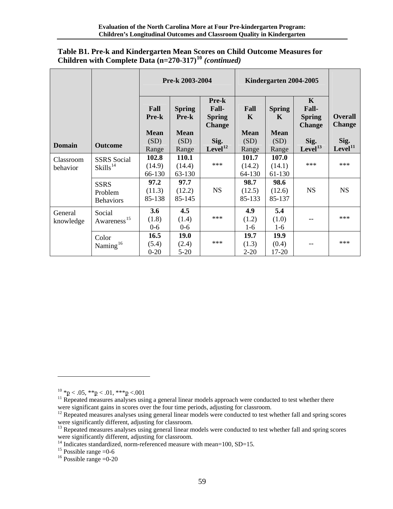|                       |                                            | Pre-k 2003-2004                     |                                              |                                                         | Kindergarten 2004-2005             |                                             |                                                                |                                 |
|-----------------------|--------------------------------------------|-------------------------------------|----------------------------------------------|---------------------------------------------------------|------------------------------------|---------------------------------------------|----------------------------------------------------------------|---------------------------------|
|                       |                                            | Fall<br><b>Pre-k</b><br><b>Mean</b> | <b>Spring</b><br><b>Pre-k</b><br><b>Mean</b> | Pre-k<br><b>Fall-</b><br><b>Spring</b><br><b>Change</b> | Fall<br>$\mathbf K$<br><b>Mean</b> | <b>Spring</b><br>$\mathbf K$<br><b>Mean</b> | $\mathbf{K}$<br><b>Fall-</b><br><b>Spring</b><br><b>Change</b> | <b>Overall</b><br><b>Change</b> |
| <b>Domain</b>         | <b>Outcome</b>                             | (SD)<br>Range                       | (SD)<br>Range                                | Sig.<br>Level <sup>12</sup>                             | (SD)<br>Range                      | (SD)<br>Range                               | Sig.<br>Level <sup>13</sup>                                    | Sig.<br>Level <sup>11</sup>     |
| Classroom<br>behavior | <b>SSRS</b> Social<br>Skills <sup>14</sup> | 102.8<br>(14.9)<br>66-130           | 110.1<br>(14.4)<br>63-130                    | ***                                                     | 101.7<br>(14.2)<br>64-130          | 107.0<br>(14.1)<br>61-130                   | ***                                                            | $***$                           |
|                       | <b>SSRS</b><br>Problem<br><b>Behaviors</b> | 97.2<br>(11.3)<br>85-138            | 97.7<br>(12.2)<br>85-145                     | <b>NS</b>                                               | 98.7<br>(12.5)<br>85-133           | 98.6<br>(12.6)<br>85-137                    | <b>NS</b>                                                      | <b>NS</b>                       |
| General<br>knowledge  | Social<br>Awareness <sup>15</sup>          | 3.6<br>(1.8)<br>$0-6$               | 4.5<br>(1.4)<br>$0-6$                        | ***                                                     | 4.9<br>(1.2)<br>$1-6$              | 5.4<br>(1.0)<br>$1-6$                       |                                                                | ***                             |
|                       | Color<br>Naming <sup>16</sup>              | 16.5<br>(5.4)<br>$0 - 20$           | <b>19.0</b><br>(2.4)<br>$5 - 20$             | $***$                                                   | 19.7<br>(1.3)<br>$2 - 20$          | 19.9<br>(0.4)<br>17-20                      |                                                                | ***                             |

#### **Table B1. Pre-k and Kindergarten Mean Scores on Child Outcome Measures for Children with Complete Data (n=270-317)[10](#page-59-0)** *(continued)*

 $\overline{a}$ 

<span id="page-59-6"></span><span id="page-59-5"></span><sup>16</sup> Possible range  $=$  0-20

<span id="page-59-1"></span><span id="page-59-0"></span><sup>&</sup>lt;sup>10</sup> \*p < .05, \*\*p < .01, \*\*\*p < .001<br><sup>11</sup> Repeated measures analyses using a general linear models approach were conducted to test whether there were significant gains in scores over the four time periods, adjusting for

<span id="page-59-2"></span> $12$  Repeated measures analyses using general linear models were conducted to test whether fall and spring scores were significantly different, adjusting for classroom.

<span id="page-59-3"></span><sup>&</sup>lt;sup>13</sup> Repeated measures analyses using general linear models were conducted to test whether fall and spring scores were significantly different, adjusting for classroom.<br><sup>14</sup> Indicates standardized, norm-referenced measure with mean=100, SD=15.<br><sup>15</sup> Possible range =0-6

<span id="page-59-4"></span>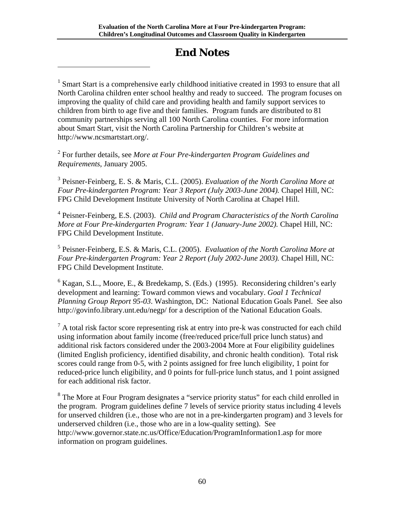## **End Notes**

<sup>1</sup> Smart Start is a comprehensive early childhood initiative created in 1993 to ensure that all North Carolina children enter school healthy and ready to succeed. The program focuses on improving the quality of child care and providing health and family support services to children from birth to age five and their families. Program funds are distributed to 81 community partnerships serving all 100 North Carolina counties. For more information about Smart Start, visit the North Carolina Partnership for Children's website at http://www.ncsmartstart.org/.

2 For further details, see *More at Four Pre-kindergarten Program Guidelines and Requirements*, January 2005.

<span id="page-60-0"></span> $\overline{a}$ 

3 Peisner-Feinberg, E. S. & Maris, C.L. (2005). *Evaluation of the North Carolina More at Four Pre-kindergarten Program: Year 3 Report (July 2003-June 2004).* Chapel Hill, NC: FPG Child Development Institute University of North Carolina at Chapel Hill.

4 Peisner-Feinberg, E.S. (2003). *Child and Program Characteristics of the North Carolina More at Four Pre-kindergarten Program: Year 1 (January-June 2002).* Chapel Hill, NC: FPG Child Development Institute.

5 Peisner-Feinberg, E.S. & Maris, C.L. (2005). *Evaluation of the North Carolina More at Four Pre-kindergarten Program: Year 2 Report (July 2002-June 2003).* Chapel Hill, NC: FPG Child Development Institute.

<sup>6</sup> Kagan, S.L., Moore, E., & Bredekamp, S. (Eds.) (1995). Reconsidering children's early development and learning: Toward common views and vocabulary. *Goal 1 Technical Planning Group Report 95-03*. Washington, DC: National Education Goals Panel. See also [http://govinfo.library.unt.edu/negp/](http://www.negp.gov/) for a description of the National Education Goals.

 $<sup>7</sup>$  A total risk factor score representing risk at entry into pre-k was constructed for each child</sup> using information about family income (free/reduced price/full price lunch status) and additional risk factors considered under the 2003-2004 More at Four eligibility guidelines (limited English proficiency, identified disability, and chronic health condition). Total risk scores could range from 0-5, with 2 points assigned for free lunch eligibility, 1 point for reduced-price lunch eligibility, and 0 points for full-price lunch status, and 1 point assigned for each additional risk factor.

<sup>8</sup> The More at Four Program designates a "service priority status" for each child enrolled in the program. Program guidelines define 7 levels of service priority status including 4 levels for unserved children (i.e., those who are not in a pre-kindergarten program) and 3 levels for underserved children (i.e., those who are in a low-quality setting). See <http://www.governor.state.nc.us/Office/Education/ProgramInformation1.asp>for more information on program guidelines.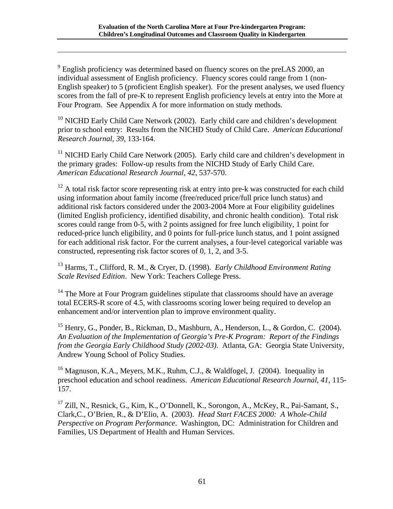<sup>9</sup> English proficiency was determined based on fluency scores on the preLAS 2000, an individual assessment of English proficiency. Fluency scores could range from 1 (non-English speaker) to 5 (proficient English speaker). For the present analyses, we used fluency scores from the fall of pre-K to represent English proficiency levels at entry into the More at Four Program. See Appendix A for more information on study methods.

<sup>10</sup> NICHD Early Child Care Network (2002). Early child care and children's development prior to school entry: Results from the NICHD Study of Child Care. *American Educational Research Journal*, *39*, 133-164.

 $11$  NICHD Early Child Care Network (2005). Early child care and children's development in the primary grades: Follow-up results from the NICHD Study of Early Child Care. *American Educational Research Journal*, *42*, 537-570.

 $12$  A total risk factor score representing risk at entry into pre-k was constructed for each child using information about family income (free/reduced price/full price lunch status) and additional risk factors considered under the 2003-2004 More at Four eligibility guidelines (limited English proficiency, identified disability, and chronic health condition). Total risk scores could range from 0-5, with 2 points assigned for free lunch eligibility, 1 point for reduced-price lunch eligibility, and 0 points for full-price lunch status, and 1 point assigned for each additional risk factor. For the current analyses, a four-level categorical variable was constructed, representing risk factor scores of 0, 1, 2, and 3-5.

13 Harms, T., Clifford, R. M., & Cryer, D. (1998). *Early Childhood Environment Rating Scale Revised Edition*. New York: Teachers College Press.

 $14$  The More at Four Program guidelines stipulate that classrooms should have an average total ECERS-R score of 4.5, with classrooms scoring lower being required to develop an enhancement and/or intervention plan to improve environment quality.

<sup>15</sup> Henry, G., Ponder, B., Rickman, D., Mashburn, A., Henderson, L., & Gordon, C. (2004). *An Evaluation of the Implementation of Georgia's Pre-K Program: Report of the Findings from the Georgia Early Childhood Study (2002-03)*. Atlanta, GA: Georgia State University, Andrew Young School of Policy Studies.

<sup>16</sup> Magnuson, K.A., Meyers, M.K., Ruhm, C.J., & Waldfogel, J. (2004). Inequality in preschool education and school readiness. *American Educational Research Journal*, *41*, 115- 157.

<sup>17</sup> Zill, N., Resnick, G., Kim, K., O'Donnell, K., Sorongon, A., McKey, R., Pai-Samant, S., Clark,C., O'Brien, R., & D'Elio, A. (2003). *Head Start FACES 2000: A Whole-Child Perspective on Program Performance*. Washington, DC: Administration for Children and Families, US Department of Health and Human Services.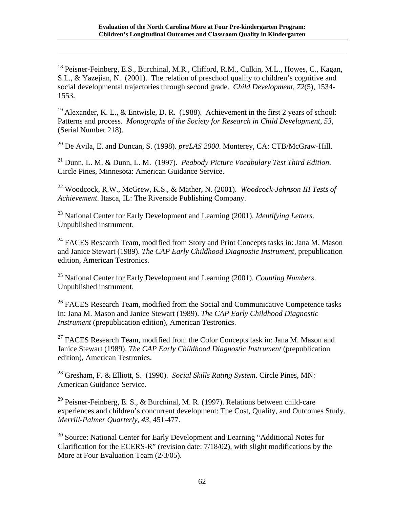<span id="page-62-0"></span><sup>18</sup> Peisner-Feinberg, E.S., Burchinal, M.R., Clifford, R.M., Culkin, M.L., Howes, C., Kagan, S.L., & Yazejian, N. (2001). The relation of preschool quality to children's cognitive and social developmental trajectories through second grade. *Child Development*, *72*(5), 1534- 1553.

<span id="page-62-1"></span> $\overline{a}$ 

<sup>19</sup> Alexander, K. L., & Entwisle, D. R. (1988). Achievement in the first 2 years of school: Patterns and process. *Monographs of the Society for Research in Child Development*, *53*, (Serial Number 218).

20 De Avila, E. and Duncan, S. (1998). *preLAS 2000*. Monterey, CA: CTB/McGraw-Hill.

21 Dunn, L. M. & Dunn, L. M. (1997). *Peabody Picture Vocabulary Test Third Edition*. Circle Pines, Minnesota: American Guidance Service.

22 Woodcock, R.W., McGrew, K.S., & Mather, N. (2001). *Woodcock-Johnson III Tests of Achievement*. Itasca, IL: The Riverside Publishing Company.

23 National Center for Early Development and Learning (2001). *Identifying Letters.*  Unpublished instrument.

<sup>24</sup> FACES Research Team, modified from Story and Print Concepts tasks in: Jana M. Mason and Janice Stewart (1989). *The CAP Early Childhood Diagnostic Instrument*, prepublication edition, American Testronics.

25 National Center for Early Development and Learning (2001). *Counting Numbers*. Unpublished instrument.

<sup>26</sup> FACES Research Team, modified from the Social and Communicative Competence tasks in: Jana M. Mason and Janice Stewart (1989). *The CAP Early Childhood Diagnostic Instrument* (prepublication edition), American Testronics.

 $27$  FACES Research Team, modified from the Color Concepts task in: Jana M. Mason and Janice Stewart (1989). *The CAP Early Childhood Diagnostic Instrument* (prepublication edition), American Testronics.

28 Gresham, F. & Elliott, S. (1990). *Social Skills Rating System*. Circle Pines, MN: American Guidance Service.

<sup>29</sup> Peisner-Feinberg, E. S., & Burchinal, M. R. (1997). Relations between child-care experiences and children's concurrent development: The Cost, Quality, and Outcomes Study. *Merrill-Palmer Quarterly*, *43*, 451-477.

<sup>30</sup> Source: National Center for Early Development and Learning "Additional Notes for Clarification for the ECERS-R" (revision date: 7/18/02), with slight modifications by the More at Four Evaluation Team (2/3/05).